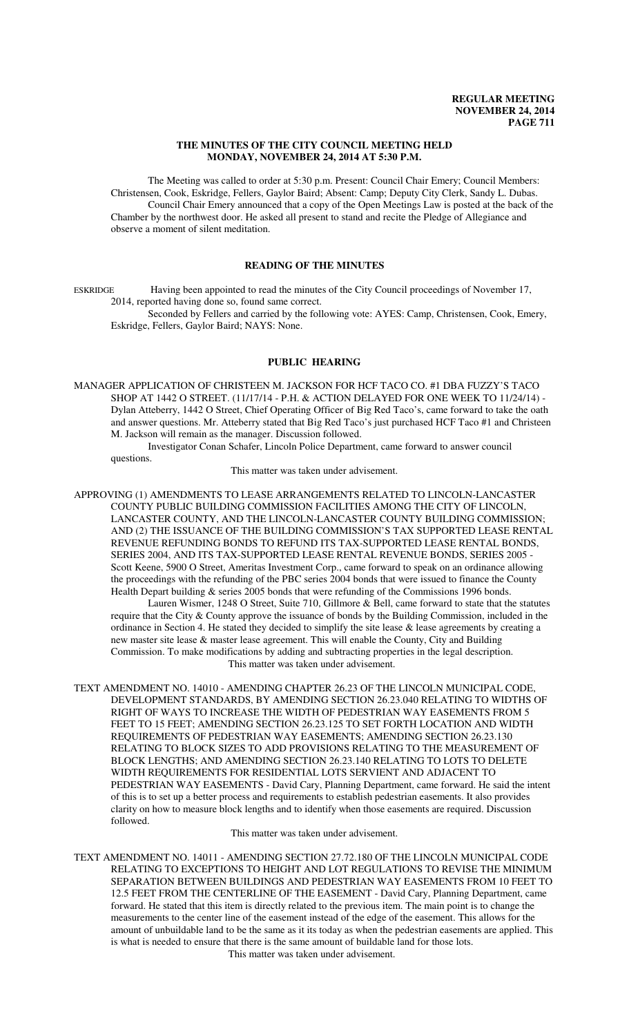#### **THE MINUTES OF THE CITY COUNCIL MEETING HELD MONDAY, NOVEMBER 24, 2014 AT 5:30 P.M.**

The Meeting was called to order at 5:30 p.m. Present: Council Chair Emery; Council Members: Christensen, Cook, Eskridge, Fellers, Gaylor Baird; Absent: Camp; Deputy City Clerk, Sandy L. Dubas. Council Chair Emery announced that a copy of the Open Meetings Law is posted at the back of the Chamber by the northwest door. He asked all present to stand and recite the Pledge of Allegiance and observe a moment of silent meditation.

# **READING OF THE MINUTES**

ESKRIDGE Having been appointed to read the minutes of the City Council proceedings of November 17, 2014, reported having done so, found same correct.

Seconded by Fellers and carried by the following vote: AYES: Camp, Christensen, Cook, Emery, Eskridge, Fellers, Gaylor Baird; NAYS: None.

### **PUBLIC HEARING**

MANAGER APPLICATION OF CHRISTEEN M. JACKSON FOR HCF TACO CO. #1 DBA FUZZY'S TACO SHOP AT 1442 O STREET. (11/17/14 - P.H. & ACTION DELAYED FOR ONE WEEK TO 11/24/14) - Dylan Atteberry, 1442 O Street, Chief Operating Officer of Big Red Taco's, came forward to take the oath and answer questions. Mr. Atteberry stated that Big Red Taco's just purchased HCF Taco #1 and Christeen M. Jackson will remain as the manager. Discussion followed.

Investigator Conan Schafer, Lincoln Police Department, came forward to answer council questions.

This matter was taken under advisement.

APPROVING (1) AMENDMENTS TO LEASE ARRANGEMENTS RELATED TO LINCOLN-LANCASTER COUNTY PUBLIC BUILDING COMMISSION FACILITIES AMONG THE CITY OF LINCOLN, LANCASTER COUNTY, AND THE LINCOLN-LANCASTER COUNTY BUILDING COMMISSION; AND (2) THE ISSUANCE OF THE BUILDING COMMISSION'S TAX SUPPORTED LEASE RENTAL REVENUE REFUNDING BONDS TO REFUND ITS TAX-SUPPORTED LEASE RENTAL BONDS, SERIES 2004, AND ITS TAX-SUPPORTED LEASE RENTAL REVENUE BONDS, SERIES 2005 - Scott Keene, 5900 O Street, Ameritas Investment Corp., came forward to speak on an ordinance allowing the proceedings with the refunding of the PBC series 2004 bonds that were issued to finance the County Health Depart building & series 2005 bonds that were refunding of the Commissions 1996 bonds.

Lauren Wismer, 1248 O Street, Suite 710, Gillmore & Bell, came forward to state that the statutes require that the City & County approve the issuance of bonds by the Building Commission, included in the ordinance in Section 4. He stated they decided to simplify the site lease & lease agreements by creating a new master site lease & master lease agreement. This will enable the County, City and Building Commission. To make modifications by adding and subtracting properties in the legal description. This matter was taken under advisement.

TEXT AMENDMENT NO. 14010 - AMENDING CHAPTER 26.23 OF THE LINCOLN MUNICIPAL CODE, DEVELOPMENT STANDARDS, BY AMENDING SECTION 26.23.040 RELATING TO WIDTHS OF RIGHT OF WAYS TO INCREASE THE WIDTH OF PEDESTRIAN WAY EASEMENTS FROM 5 FEET TO 15 FEET; AMENDING SECTION 26.23.125 TO SET FORTH LOCATION AND WIDTH REQUIREMENTS OF PEDESTRIAN WAY EASEMENTS; AMENDING SECTION 26.23.130 RELATING TO BLOCK SIZES TO ADD PROVISIONS RELATING TO THE MEASUREMENT OF BLOCK LENGTHS; AND AMENDING SECTION 26.23.140 RELATING TO LOTS TO DELETE WIDTH REQUIREMENTS FOR RESIDENTIAL LOTS SERVIENT AND ADJACENT TO PEDESTRIAN WAY EASEMENTS - David Cary, Planning Department, came forward. He said the intent of this is to set up a better process and requirements to establish pedestrian easements. It also provides clarity on how to measure block lengths and to identify when those easements are required. Discussion followed.

This matter was taken under advisement.

TEXT AMENDMENT NO. 14011 - AMENDING SECTION 27.72.180 OF THE LINCOLN MUNICIPAL CODE RELATING TO EXCEPTIONS TO HEIGHT AND LOT REGULATIONS TO REVISE THE MINIMUM SEPARATION BETWEEN BUILDINGS AND PEDESTRIAN WAY EASEMENTS FROM 10 FEET TO 12.5 FEET FROM THE CENTERLINE OF THE EASEMENT - David Cary, Planning Department, came forward. He stated that this item is directly related to the previous item. The main point is to change the measurements to the center line of the easement instead of the edge of the easement. This allows for the amount of unbuildable land to be the same as it its today as when the pedestrian easements are applied. This is what is needed to ensure that there is the same amount of buildable land for those lots.

This matter was taken under advisement.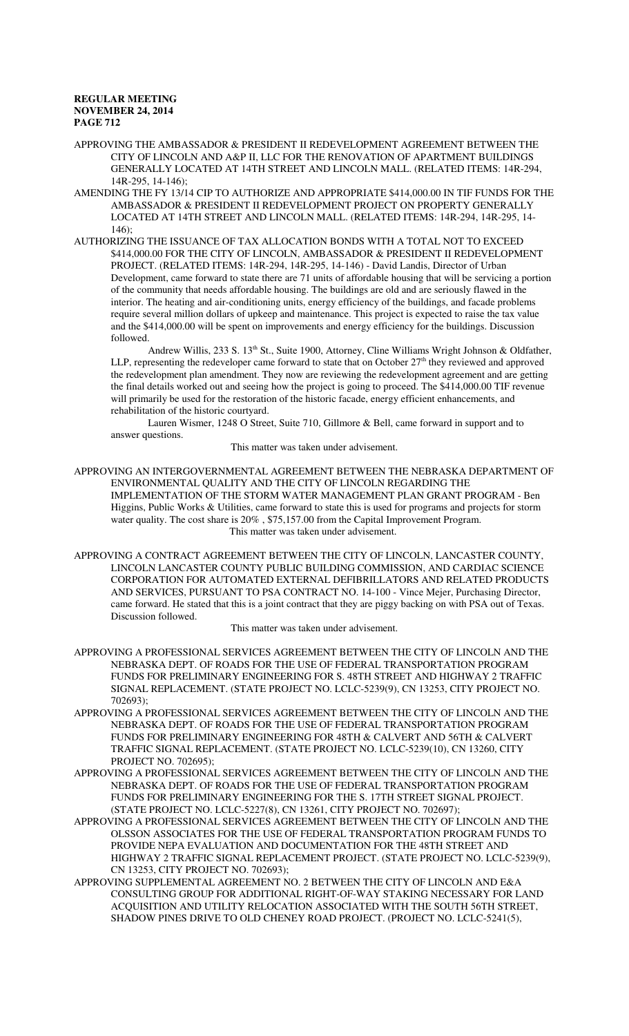APPROVING THE AMBASSADOR & PRESIDENT II REDEVELOPMENT AGREEMENT BETWEEN THE CITY OF LINCOLN AND A&P II, LLC FOR THE RENOVATION OF APARTMENT BUILDINGS GENERALLY LOCATED AT 14TH STREET AND LINCOLN MALL. (RELATED ITEMS: 14R-294, 14R-295, 14-146);

- AMENDING THE FY 13/14 CIP TO AUTHORIZE AND APPROPRIATE \$414,000.00 IN TIF FUNDS FOR THE AMBASSADOR & PRESIDENT II REDEVELOPMENT PROJECT ON PROPERTY GENERALLY LOCATED AT 14TH STREET AND LINCOLN MALL. (RELATED ITEMS: 14R-294, 14R-295, 14- 146);
- AUTHORIZING THE ISSUANCE OF TAX ALLOCATION BONDS WITH A TOTAL NOT TO EXCEED \$414,000.00 FOR THE CITY OF LINCOLN, AMBASSADOR & PRESIDENT II REDEVELOPMENT PROJECT. (RELATED ITEMS: 14R-294, 14R-295, 14-146) - David Landis, Director of Urban Development, came forward to state there are 71 units of affordable housing that will be servicing a portion of the community that needs affordable housing. The buildings are old and are seriously flawed in the interior. The heating and air-conditioning units, energy efficiency of the buildings, and facade problems require several million dollars of upkeep and maintenance. This project is expected to raise the tax value and the \$414,000.00 will be spent on improvements and energy efficiency for the buildings. Discussion followed.

Andrew Willis, 233 S. 13<sup>th</sup> St., Suite 1900, Attorney, Cline Williams Wright Johnson & Oldfather, LLP, representing the redeveloper came forward to state that on October 27<sup>th</sup> they reviewed and approved the redevelopment plan amendment. They now are reviewing the redevelopment agreement and are getting the final details worked out and seeing how the project is going to proceed. The \$414,000.00 TIF revenue will primarily be used for the restoration of the historic facade, energy efficient enhancements, and rehabilitation of the historic courtyard.

Lauren Wismer, 1248 O Street, Suite 710, Gillmore & Bell, came forward in support and to answer questions.

This matter was taken under advisement.

APPROVING AN INTERGOVERNMENTAL AGREEMENT BETWEEN THE NEBRASKA DEPARTMENT OF ENVIRONMENTAL QUALITY AND THE CITY OF LINCOLN REGARDING THE IMPLEMENTATION OF THE STORM WATER MANAGEMENT PLAN GRANT PROGRAM - Ben Higgins, Public Works & Utilities, came forward to state this is used for programs and projects for storm water quality. The cost share is 20% , \$75,157.00 from the Capital Improvement Program. This matter was taken under advisement.

APPROVING A CONTRACT AGREEMENT BETWEEN THE CITY OF LINCOLN, LANCASTER COUNTY, LINCOLN LANCASTER COUNTY PUBLIC BUILDING COMMISSION, AND CARDIAC SCIENCE CORPORATION FOR AUTOMATED EXTERNAL DEFIBRILLATORS AND RELATED PRODUCTS AND SERVICES, PURSUANT TO PSA CONTRACT NO. 14-100 - Vince Mejer, Purchasing Director, came forward. He stated that this is a joint contract that they are piggy backing on with PSA out of Texas. Discussion followed.

This matter was taken under advisement.

- APPROVING A PROFESSIONAL SERVICES AGREEMENT BETWEEN THE CITY OF LINCOLN AND THE NEBRASKA DEPT. OF ROADS FOR THE USE OF FEDERAL TRANSPORTATION PROGRAM FUNDS FOR PRELIMINARY ENGINEERING FOR S. 48TH STREET AND HIGHWAY 2 TRAFFIC SIGNAL REPLACEMENT. (STATE PROJECT NO. LCLC-5239(9), CN 13253, CITY PROJECT NO. 702693);
- APPROVING A PROFESSIONAL SERVICES AGREEMENT BETWEEN THE CITY OF LINCOLN AND THE NEBRASKA DEPT. OF ROADS FOR THE USE OF FEDERAL TRANSPORTATION PROGRAM FUNDS FOR PRELIMINARY ENGINEERING FOR 48TH & CALVERT AND 56TH & CALVERT TRAFFIC SIGNAL REPLACEMENT. (STATE PROJECT NO. LCLC-5239(10), CN 13260, CITY PROJECT NO. 702695);

APPROVING A PROFESSIONAL SERVICES AGREEMENT BETWEEN THE CITY OF LINCOLN AND THE NEBRASKA DEPT. OF ROADS FOR THE USE OF FEDERAL TRANSPORTATION PROGRAM FUNDS FOR PRELIMINARY ENGINEERING FOR THE S. 17TH STREET SIGNAL PROJECT. (STATE PROJECT NO. LCLC-5227(8), CN 13261, CITY PROJECT NO. 702697);

- APPROVING A PROFESSIONAL SERVICES AGREEMENT BETWEEN THE CITY OF LINCOLN AND THE OLSSON ASSOCIATES FOR THE USE OF FEDERAL TRANSPORTATION PROGRAM FUNDS TO PROVIDE NEPA EVALUATION AND DOCUMENTATION FOR THE 48TH STREET AND HIGHWAY 2 TRAFFIC SIGNAL REPLACEMENT PROJECT. (STATE PROJECT NO. LCLC-5239(9), CN 13253, CITY PROJECT NO. 702693);
- APPROVING SUPPLEMENTAL AGREEMENT NO. 2 BETWEEN THE CITY OF LINCOLN AND E&A CONSULTING GROUP FOR ADDITIONAL RIGHT-OF-WAY STAKING NECESSARY FOR LAND ACQUISITION AND UTILITY RELOCATION ASSOCIATED WITH THE SOUTH 56TH STREET, SHADOW PINES DRIVE TO OLD CHENEY ROAD PROJECT. (PROJECT NO. LCLC-5241(5),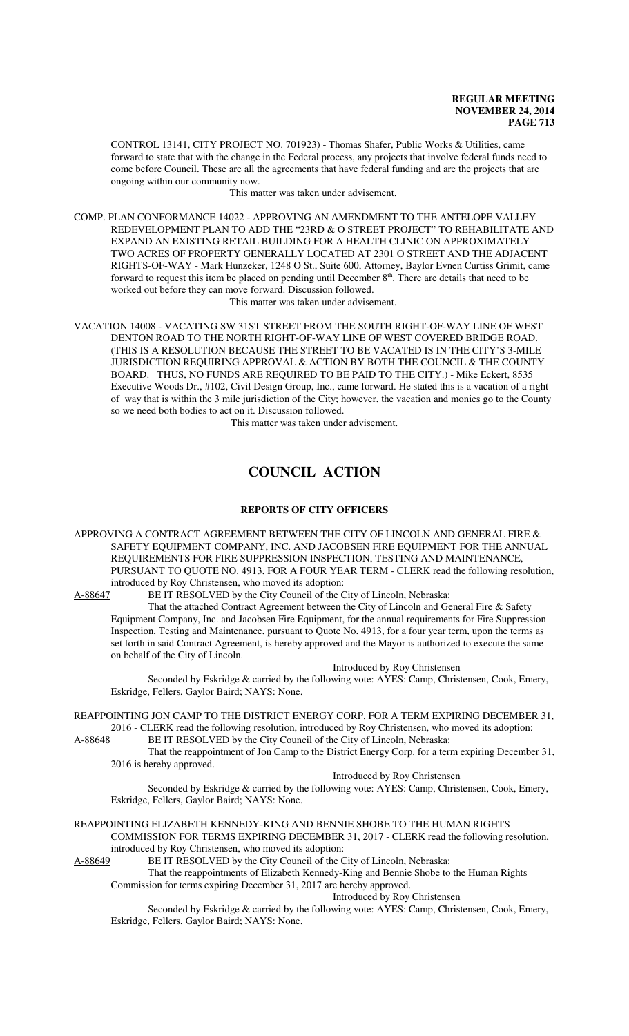CONTROL 13141, CITY PROJECT NO. 701923) - Thomas Shafer, Public Works & Utilities, came forward to state that with the change in the Federal process, any projects that involve federal funds need to come before Council. These are all the agreements that have federal funding and are the projects that are ongoing within our community now.

This matter was taken under advisement.

COMP. PLAN CONFORMANCE 14022 - APPROVING AN AMENDMENT TO THE ANTELOPE VALLEY REDEVELOPMENT PLAN TO ADD THE "23RD & O STREET PROJECT" TO REHABILITATE AND EXPAND AN EXISTING RETAIL BUILDING FOR A HEALTH CLINIC ON APPROXIMATELY TWO ACRES OF PROPERTY GENERALLY LOCATED AT 2301 O STREET AND THE ADJACENT RIGHTS-OF-WAY - Mark Hunzeker, 1248 O St., Suite 600, Attorney, Baylor Evnen Curtiss Grimit, came forward to request this item be placed on pending until December  $8<sup>th</sup>$ . There are details that need to be worked out before they can move forward. Discussion followed.

This matter was taken under advisement.

VACATION 14008 - VACATING SW 31ST STREET FROM THE SOUTH RIGHT-OF-WAY LINE OF WEST DENTON ROAD TO THE NORTH RIGHT-OF-WAY LINE OF WEST COVERED BRIDGE ROAD. (THIS IS A RESOLUTION BECAUSE THE STREET TO BE VACATED IS IN THE CITY'S 3-MILE JURISDICTION REQUIRING APPROVAL & ACTION BY BOTH THE COUNCIL & THE COUNTY BOARD. THUS, NO FUNDS ARE REQUIRED TO BE PAID TO THE CITY.) - Mike Eckert, 8535 Executive Woods Dr., #102, Civil Design Group, Inc., came forward. He stated this is a vacation of a right of way that is within the 3 mile jurisdiction of the City; however, the vacation and monies go to the County so we need both bodies to act on it. Discussion followed.

This matter was taken under advisement.

# **COUNCIL ACTION**

# **REPORTS OF CITY OFFICERS**

APPROVING A CONTRACT AGREEMENT BETWEEN THE CITY OF LINCOLN AND GENERAL FIRE  $\&$ SAFETY EQUIPMENT COMPANY, INC. AND JACOBSEN FIRE EQUIPMENT FOR THE ANNUAL REQUIREMENTS FOR FIRE SUPPRESSION INSPECTION, TESTING AND MAINTENANCE, PURSUANT TO QUOTE NO. 4913, FOR A FOUR YEAR TERM - CLERK read the following resolution, introduced by Roy Christensen, who moved its adoption:<br>A-88647 BE IT RESOLVED by the City Council of the C

BE IT RESOLVED by the City Council of the City of Lincoln, Nebraska:

That the attached Contract Agreement between the City of Lincoln and General Fire & Safety Equipment Company, Inc. and Jacobsen Fire Equipment, for the annual requirements for Fire Suppression Inspection, Testing and Maintenance, pursuant to Quote No. 4913, for a four year term, upon the terms as set forth in said Contract Agreement, is hereby approved and the Mayor is authorized to execute the same on behalf of the City of Lincoln.

Introduced by Roy Christensen

Seconded by Eskridge & carried by the following vote: AYES: Camp, Christensen, Cook, Emery, Eskridge, Fellers, Gaylor Baird; NAYS: None.

REAPPOINTING JON CAMP TO THE DISTRICT ENERGY CORP. FOR A TERM EXPIRING DECEMBER 31, 2016 - CLERK read the following resolution, introduced by Roy Christensen, who moved its adoption:<br>A-88648 BE IT RESOLVED by the City Council of the City of Lincoln, Nebraska: BE IT RESOLVED by the City Council of the City of Lincoln, Nebraska:

That the reappointment of Jon Camp to the District Energy Corp. for a term expiring December 31, 2016 is hereby approved.

Introduced by Roy Christensen

Seconded by Eskridge & carried by the following vote: AYES: Camp, Christensen, Cook, Emery, Eskridge, Fellers, Gaylor Baird; NAYS: None.

REAPPOINTING ELIZABETH KENNEDY-KING AND BENNIE SHOBE TO THE HUMAN RIGHTS COMMISSION FOR TERMS EXPIRING DECEMBER 31, 2017 - CLERK read the following resolution,

introduced by Roy Christensen, who moved its adoption:<br>A-88649 BE IT RESOLVED by the City Council of the C BE IT RESOLVED by the City Council of the City of Lincoln, Nebraska:

That the reappointments of Elizabeth Kennedy-King and Bennie Shobe to the Human Rights Commission for terms expiring December 31, 2017 are hereby approved.

Introduced by Roy Christensen

Seconded by Eskridge & carried by the following vote: AYES: Camp, Christensen, Cook, Emery, Eskridge, Fellers, Gaylor Baird; NAYS: None.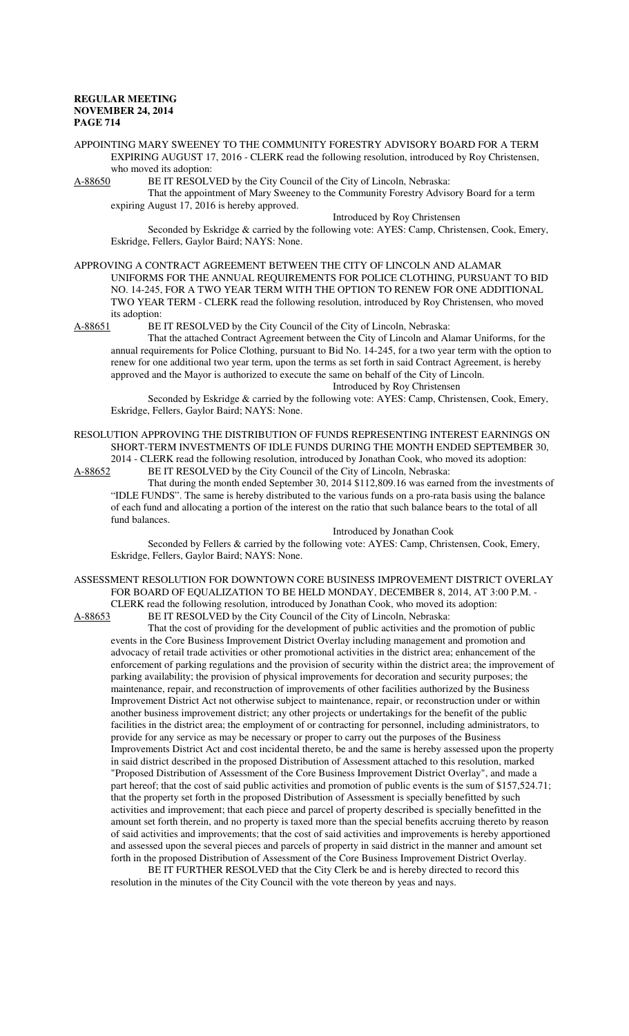APPOINTING MARY SWEENEY TO THE COMMUNITY FORESTRY ADVISORY BOARD FOR A TERM EXPIRING AUGUST 17, 2016 - CLERK read the following resolution, introduced by Roy Christensen, who moved its adoption:

A-88650 BE IT RESOLVED by the City Council of the City of Lincoln, Nebraska:

That the appointment of Mary Sweeney to the Community Forestry Advisory Board for a term expiring August 17, 2016 is hereby approved.

Introduced by Roy Christensen

Seconded by Eskridge & carried by the following vote: AYES: Camp, Christensen, Cook, Emery, Eskridge, Fellers, Gaylor Baird; NAYS: None.

APPROVING A CONTRACT AGREEMENT BETWEEN THE CITY OF LINCOLN AND ALAMAR UNIFORMS FOR THE ANNUAL REQUIREMENTS FOR POLICE CLOTHING, PURSUANT TO BID NO. 14-245, FOR A TWO YEAR TERM WITH THE OPTION TO RENEW FOR ONE ADDITIONAL TWO YEAR TERM - CLERK read the following resolution, introduced by Roy Christensen, who moved its adoption:

A-88651 BE IT RESOLVED by the City Council of the City of Lincoln, Nebraska:

That the attached Contract Agreement between the City of Lincoln and Alamar Uniforms, for the annual requirements for Police Clothing, pursuant to Bid No. 14-245, for a two year term with the option to renew for one additional two year term, upon the terms as set forth in said Contract Agreement, is hereby approved and the Mayor is authorized to execute the same on behalf of the City of Lincoln.

Introduced by Roy Christensen

Seconded by Eskridge & carried by the following vote: AYES: Camp, Christensen, Cook, Emery, Eskridge, Fellers, Gaylor Baird; NAYS: None.

RESOLUTION APPROVING THE DISTRIBUTION OF FUNDS REPRESENTING INTEREST EARNINGS ON SHORT-TERM INVESTMENTS OF IDLE FUNDS DURING THE MONTH ENDED SEPTEMBER 30, 2014 - CLERK read the following resolution, introduced by Jonathan Cook, who moved its adoption:<br>A-88652 BE IT RESOLVED by the City Council of the City of Lincoln, Nebraska:

BE IT RESOLVED by the City Council of the City of Lincoln, Nebraska: That during the month ended September 30, 2014 \$112,809.16 was earned from the investments of

"IDLE FUNDS". The same is hereby distributed to the various funds on a pro-rata basis using the balance of each fund and allocating a portion of the interest on the ratio that such balance bears to the total of all fund balances.

Introduced by Jonathan Cook

Seconded by Fellers & carried by the following vote: AYES: Camp, Christensen, Cook, Emery, Eskridge, Fellers, Gaylor Baird; NAYS: None.

ASSESSMENT RESOLUTION FOR DOWNTOWN CORE BUSINESS IMPROVEMENT DISTRICT OVERLAY FOR BOARD OF EQUALIZATION TO BE HELD MONDAY, DECEMBER 8, 2014, AT 3:00 P.M. - CLERK read the following resolution, introduced by Jonathan Cook, who moved its adoption:<br>A-88653 BE IT RESOLVED by the City Council of the City of Lincoln, Nebraska: BE IT RESOLVED by the City Council of the City of Lincoln, Nebraska:

That the cost of providing for the development of public activities and the promotion of public events in the Core Business Improvement District Overlay including management and promotion and advocacy of retail trade activities or other promotional activities in the district area; enhancement of the enforcement of parking regulations and the provision of security within the district area; the improvement of parking availability; the provision of physical improvements for decoration and security purposes; the maintenance, repair, and reconstruction of improvements of other facilities authorized by the Business Improvement District Act not otherwise subject to maintenance, repair, or reconstruction under or within another business improvement district; any other projects or undertakings for the benefit of the public facilities in the district area; the employment of or contracting for personnel, including administrators, to provide for any service as may be necessary or proper to carry out the purposes of the Business Improvements District Act and cost incidental thereto, be and the same is hereby assessed upon the property in said district described in the proposed Distribution of Assessment attached to this resolution, marked "Proposed Distribution of Assessment of the Core Business Improvement District Overlay", and made a part hereof; that the cost of said public activities and promotion of public events is the sum of \$157,524.71; that the property set forth in the proposed Distribution of Assessment is specially benefitted by such activities and improvement; that each piece and parcel of property described is specially benefitted in the amount set forth therein, and no property is taxed more than the special benefits accruing thereto by reason of said activities and improvements; that the cost of said activities and improvements is hereby apportioned and assessed upon the several pieces and parcels of property in said district in the manner and amount set forth in the proposed Distribution of Assessment of the Core Business Improvement District Overlay.

BE IT FURTHER RESOLVED that the City Clerk be and is hereby directed to record this resolution in the minutes of the City Council with the vote thereon by yeas and nays.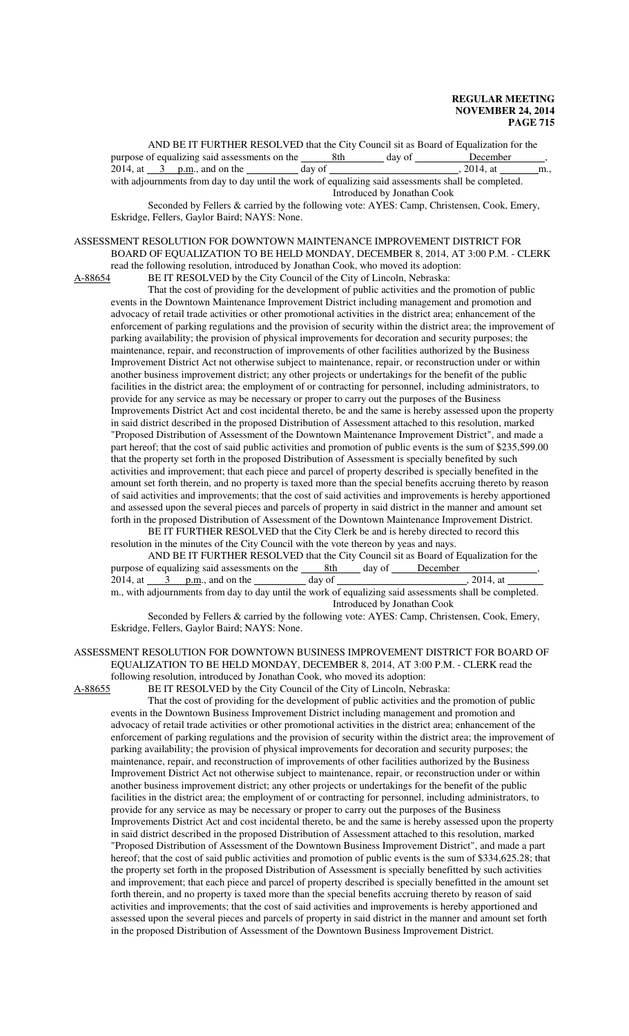AND BE IT FURTHER RESOLVED that the City Council sit as Board of Equalization for the purpose of equalizing said assessments on the  $\frac{8th}{\text{day of}}$  day of December 2014, at  $\frac{3}{\text{pm}}$ , and on the  $\frac{3}{\text{day of}}$  day of  $\frac{8th}{\text{day}}$ , 2014, at  $\frac{3}{\text{day}}$ 2014, at  $\frac{3}{2}$  p.m., and on the day of  $\frac{3}{2}$ , 2014, at  $\frac{1}{2}$ , 2014, at  $\frac{1}{2}$ , 2014, at  $\frac{1}{2}$ ,  $\frac{1}{2}$ ,  $\frac{1}{2}$ with adjournments from day to day until the work of equalizing said assessments shall be completed. Introduced by Jonathan Cook

Seconded by Fellers & carried by the following vote: AYES: Camp, Christensen, Cook, Emery, Eskridge, Fellers, Gaylor Baird; NAYS: None.

#### ASSESSMENT RESOLUTION FOR DOWNTOWN MAINTENANCE IMPROVEMENT DISTRICT FOR BOARD OF EQUALIZATION TO BE HELD MONDAY, DECEMBER 8, 2014, AT 3:00 P.M. - CLERK read the following resolution, introduced by Jonathan Cook, who moved its adoption:

A-88654 BE IT RESOLVED by the City Council of the City of Lincoln, Nebraska:

That the cost of providing for the development of public activities and the promotion of public events in the Downtown Maintenance Improvement District including management and promotion and advocacy of retail trade activities or other promotional activities in the district area; enhancement of the enforcement of parking regulations and the provision of security within the district area; the improvement of parking availability; the provision of physical improvements for decoration and security purposes; the maintenance, repair, and reconstruction of improvements of other facilities authorized by the Business Improvement District Act not otherwise subject to maintenance, repair, or reconstruction under or within another business improvement district; any other projects or undertakings for the benefit of the public facilities in the district area; the employment of or contracting for personnel, including administrators, to provide for any service as may be necessary or proper to carry out the purposes of the Business Improvements District Act and cost incidental thereto, be and the same is hereby assessed upon the property in said district described in the proposed Distribution of Assessment attached to this resolution, marked "Proposed Distribution of Assessment of the Downtown Maintenance Improvement District", and made a part hereof; that the cost of said public activities and promotion of public events is the sum of \$235,599.00 that the property set forth in the proposed Distribution of Assessment is specially benefited by such activities and improvement; that each piece and parcel of property described is specially benefited in the amount set forth therein, and no property is taxed more than the special benefits accruing thereto by reason of said activities and improvements; that the cost of said activities and improvements is hereby apportioned and assessed upon the several pieces and parcels of property in said district in the manner and amount set forth in the proposed Distribution of Assessment of the Downtown Maintenance Improvement District.

BE IT FURTHER RESOLVED that the City Clerk be and is hereby directed to record this resolution in the minutes of the City Council with the vote thereon by yeas and nays.

AND BE IT FURTHER RESOLVED that the City Council sit as Board of Equalization for the purpose of equalizing said assessments on the <u>8th</u> day of <u>December</u><br>2014, at 3 p.m., and on the day of day of 3014, at 2014, at  $\frac{3}{20}$  p.m., and on the m., with adjournments from day to day until the work of equalizing said assessments shall be completed. Introduced by Jonathan Cook

Seconded by Fellers & carried by the following vote: AYES: Camp, Christensen, Cook, Emery, Eskridge, Fellers, Gaylor Baird; NAYS: None.

#### ASSESSMENT RESOLUTION FOR DOWNTOWN BUSINESS IMPROVEMENT DISTRICT FOR BOARD OF EQUALIZATION TO BE HELD MONDAY, DECEMBER 8, 2014, AT 3:00 P.M. - CLERK read the following resolution, introduced by Jonathan Cook, who moved its adoption:

A-88655 BE IT RESOLVED by the City Council of the City of Lincoln, Nebraska:

That the cost of providing for the development of public activities and the promotion of public events in the Downtown Business Improvement District including management and promotion and advocacy of retail trade activities or other promotional activities in the district area; enhancement of the enforcement of parking regulations and the provision of security within the district area; the improvement of parking availability; the provision of physical improvements for decoration and security purposes; the maintenance, repair, and reconstruction of improvements of other facilities authorized by the Business Improvement District Act not otherwise subject to maintenance, repair, or reconstruction under or within another business improvement district; any other projects or undertakings for the benefit of the public facilities in the district area; the employment of or contracting for personnel, including administrators, to provide for any service as may be necessary or proper to carry out the purposes of the Business Improvements District Act and cost incidental thereto, be and the same is hereby assessed upon the property in said district described in the proposed Distribution of Assessment attached to this resolution, marked "Proposed Distribution of Assessment of the Downtown Business Improvement District", and made a part hereof; that the cost of said public activities and promotion of public events is the sum of \$334,625.28; that the property set forth in the proposed Distribution of Assessment is specially benefitted by such activities and improvement; that each piece and parcel of property described is specially benefitted in the amount set forth therein, and no property is taxed more than the special benefits accruing thereto by reason of said activities and improvements; that the cost of said activities and improvements is hereby apportioned and assessed upon the several pieces and parcels of property in said district in the manner and amount set forth in the proposed Distribution of Assessment of the Downtown Business Improvement District.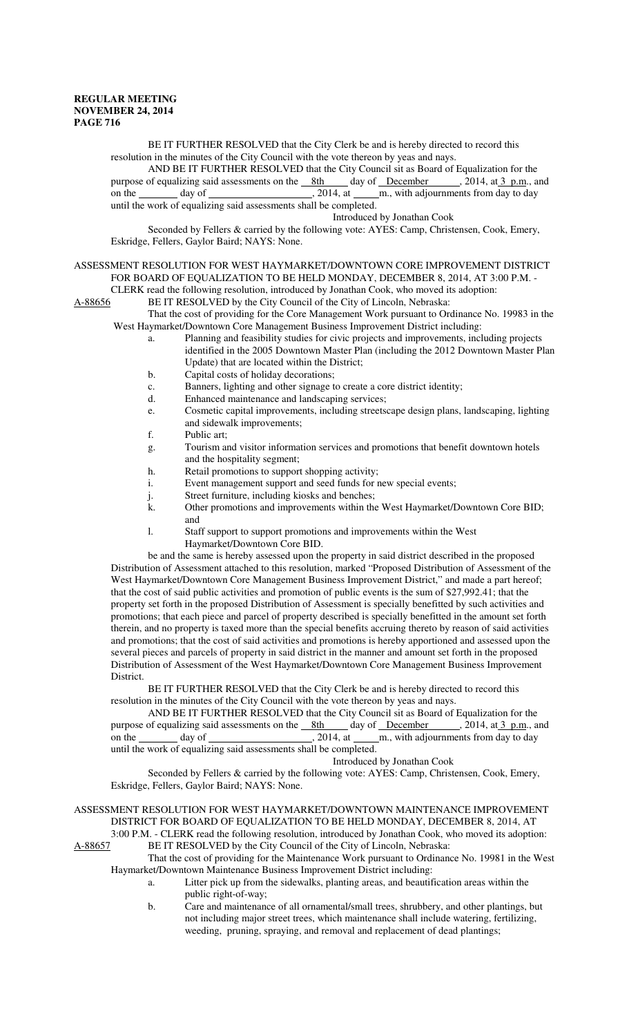BE IT FURTHER RESOLVED that the City Clerk be and is hereby directed to record this resolution in the minutes of the City Council with the vote thereon by yeas and nays.

AND BE IT FURTHER RESOLVED that the City Council sit as Board of Equalization for the of equalizing said assessments on the  $\underline{8th}$  day of December , 2014, at  $\underline{3}$  p.m., and purpose of equalizing said assessments on the <u>8th</u> day of December on the day of day of  $\frac{1}{2014}$ , at m., with adjournments from day to day until the work of equalizing said assessments shall be completed.

#### Introduced by Jonathan Cook

Seconded by Fellers & carried by the following vote: AYES: Camp, Christensen, Cook, Emery, Eskridge, Fellers, Gaylor Baird; NAYS: None.

# ASSESSMENT RESOLUTION FOR WEST HAYMARKET/DOWNTOWN CORE IMPROVEMENT DISTRICT FOR BOARD OF EQUALIZATION TO BE HELD MONDAY, DECEMBER 8, 2014, AT 3:00 P.M. -

CLERK read the following resolution, introduced by Jonathan Cook, who moved its adoption: A-88656 BE IT RESOLVED by the City Council of the City of Lincoln, Nebraska:

That the cost of providing for the Core Management Work pursuant to Ordinance No. 19983 in the West Haymarket/Downtown Core Management Business Improvement District including:

- a. Planning and feasibility studies for civic projects and improvements, including projects identified in the 2005 Downtown Master Plan (including the 2012 Downtown Master Plan Update) that are located within the District;
- b. Capital costs of holiday decorations;
- c. Banners, lighting and other signage to create a core district identity;
- d. Enhanced maintenance and landscaping services;
- e. Cosmetic capital improvements, including streetscape design plans, landscaping, lighting and sidewalk improvements;
- f. Public art;
- g. Tourism and visitor information services and promotions that benefit downtown hotels and the hospitality segment;
- h. Retail promotions to support shopping activity;
- i. Event management support and seed funds for new special events;
- j. Street furniture, including kiosks and benches;
- k. Other promotions and improvements within the West Haymarket/Downtown Core BID; and
- l. Staff support to support promotions and improvements within the West Haymarket/Downtown Core BID.

be and the same is hereby assessed upon the property in said district described in the proposed Distribution of Assessment attached to this resolution, marked "Proposed Distribution of Assessment of the West Haymarket/Downtown Core Management Business Improvement District," and made a part hereof; that the cost of said public activities and promotion of public events is the sum of \$27,992.41; that the property set forth in the proposed Distribution of Assessment is specially benefitted by such activities and promotions; that each piece and parcel of property described is specially benefitted in the amount set forth therein, and no property is taxed more than the special benefits accruing thereto by reason of said activities and promotions; that the cost of said activities and promotions is hereby apportioned and assessed upon the several pieces and parcels of property in said district in the manner and amount set forth in the proposed Distribution of Assessment of the West Haymarket/Downtown Core Management Business Improvement District.

BE IT FURTHER RESOLVED that the City Clerk be and is hereby directed to record this resolution in the minutes of the City Council with the vote thereon by yeas and nays.

AND BE IT FURTHER RESOLVED that the City Council sit as Board of Equalization for the purpose of equalizing said assessments on the 8th day of December , 2014, at 3 p.m., and on the day of  $\overline{\phantom{a}}$ , 2014, at  $\overline{\phantom{a}}$ , with adjournments from day to day until the work of equalizing said assessments shall be completed.

Introduced by Jonathan Cook

Seconded by Fellers & carried by the following vote: AYES: Camp, Christensen, Cook, Emery, Eskridge, Fellers, Gaylor Baird; NAYS: None.

ASSESSMENT RESOLUTION FOR WEST HAYMARKET/DOWNTOWN MAINTENANCE IMPROVEMENT DISTRICT FOR BOARD OF EQUALIZATION TO BE HELD MONDAY, DECEMBER 8, 2014, AT 3:00 P.M. - CLERK read the following resolution, introduced by Jonathan Cook, who moved its adoption:<br>A-88657 BE IT RESOLVED by the City Council of the City of Lincoln, Nebraska: BE IT RESOLVED by the City Council of the City of Lincoln, Nebraska:

That the cost of providing for the Maintenance Work pursuant to Ordinance No. 19981 in the West Haymarket/Downtown Maintenance Business Improvement District including:

- a. Litter pick up from the sidewalks, planting areas, and beautification areas within the public right-of-way;
- b. Care and maintenance of all ornamental/small trees, shrubbery, and other plantings, but not including major street trees, which maintenance shall include watering, fertilizing, weeding, pruning, spraying, and removal and replacement of dead plantings;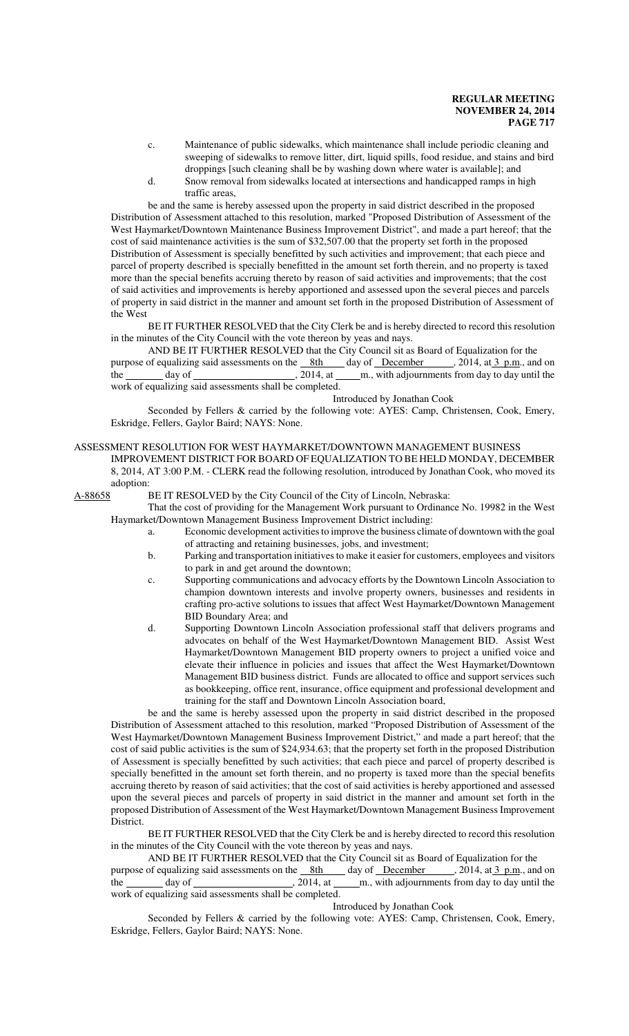- c. Maintenance of public sidewalks, which maintenance shall include periodic cleaning and sweeping of sidewalks to remove litter, dirt, liquid spills, food residue, and stains and bird droppings [such cleaning shall be by washing down where water is available]; and
- d. Snow removal from sidewalks located at intersections and handicapped ramps in high traffic areas,

be and the same is hereby assessed upon the property in said district described in the proposed Distribution of Assessment attached to this resolution, marked "Proposed Distribution of Assessment of the West Haymarket/Downtown Maintenance Business Improvement District", and made a part hereof; that the cost of said maintenance activities is the sum of \$32,507.00 that the property set forth in the proposed Distribution of Assessment is specially benefitted by such activities and improvement; that each piece and parcel of property described is specially benefitted in the amount set forth therein, and no property is taxed more than the special benefits accruing thereto by reason of said activities and improvements; that the cost of said activities and improvements is hereby apportioned and assessed upon the several pieces and parcels of property in said district in the manner and amount set forth in the proposed Distribution of Assessment of the West

BE IT FURTHER RESOLVED that the City Clerk be and is hereby directed to record this resolution in the minutes of the City Council with the vote thereon by yeas and nays.

AND BE IT FURTHER RESOLVED that the City Council sit as Board of Equalization for the purpose of equalizing said assessments on the <u>8th day of December</u> , 2014, at 3 p.m., and on the day of day until the discussion day of  $\frac{8t}{100}$ , 2014, at <u>m</u>., with adjournments from day to day until the the day of day of  $\frac{1}{2014}$ , at m., with adjournments from day to day until the work of equalizing said assessments shall be completed.

Introduced by Jonathan Cook

Seconded by Fellers & carried by the following vote: AYES: Camp, Christensen, Cook, Emery, Eskridge, Fellers, Gaylor Baird; NAYS: None.

#### ASSESSMENT RESOLUTION FOR WEST HAYMARKET/DOWNTOWN MANAGEMENT BUSINESS

IMPROVEMENT DISTRICT FOR BOARD OF EQUALIZATION TO BE HELD MONDAY, DECEMBER 8, 2014, AT 3:00 P.M. - CLERK read the following resolution, introduced by Jonathan Cook, who moved its adoption:

A-88658 BE IT RESOLVED by the City Council of the City of Lincoln, Nebraska:

That the cost of providing for the Management Work pursuant to Ordinance No. 19982 in the West Haymarket/Downtown Management Business Improvement District including:

- a. Economic development activities to improve the business climate of downtown with the goal of attracting and retaining businesses, jobs, and investment;
- b. Parking and transportation initiatives to make it easier for customers, employees and visitors to park in and get around the downtown;
- c. Supporting communications and advocacy efforts by the Downtown Lincoln Association to champion downtown interests and involve property owners, businesses and residents in crafting pro-active solutions to issues that affect West Haymarket/Downtown Management BID Boundary Area; and
- d. Supporting Downtown Lincoln Association professional staff that delivers programs and advocates on behalf of the West Haymarket/Downtown Management BID. Assist West Haymarket/Downtown Management BID property owners to project a unified voice and elevate their influence in policies and issues that affect the West Haymarket/Downtown Management BID business district. Funds are allocated to office and support services such as bookkeeping, office rent, insurance, office equipment and professional development and training for the staff and Downtown Lincoln Association board,

be and the same is hereby assessed upon the property in said district described in the proposed Distribution of Assessment attached to this resolution, marked "Proposed Distribution of Assessment of the West Haymarket/Downtown Management Business Improvement District," and made a part hereof; that the cost of said public activities is the sum of \$24,934.63; that the property set forth in the proposed Distribution of Assessment is specially benefitted by such activities; that each piece and parcel of property described is specially benefitted in the amount set forth therein, and no property is taxed more than the special benefits accruing thereto by reason of said activities; that the cost of said activities is hereby apportioned and assessed upon the several pieces and parcels of property in said district in the manner and amount set forth in the proposed Distribution of Assessment of the West Haymarket/Downtown Management Business Improvement District.

BE IT FURTHER RESOLVED that the City Clerk be and is hereby directed to record this resolution in the minutes of the City Council with the vote thereon by yeas and nays.

AND BE IT FURTHER RESOLVED that the City Council sit as Board of Equalization for the purpose of equalizing said assessments on the 8th day of December , 2014, at 3 p.m., and on the day of  $\frac{1}{2014}$ , at m., with adjournments from day to day until the work of equalizing said assessments shall be completed.

#### Introduced by Jonathan Cook

Seconded by Fellers & carried by the following vote: AYES: Camp, Christensen, Cook, Emery, Eskridge, Fellers, Gaylor Baird; NAYS: None.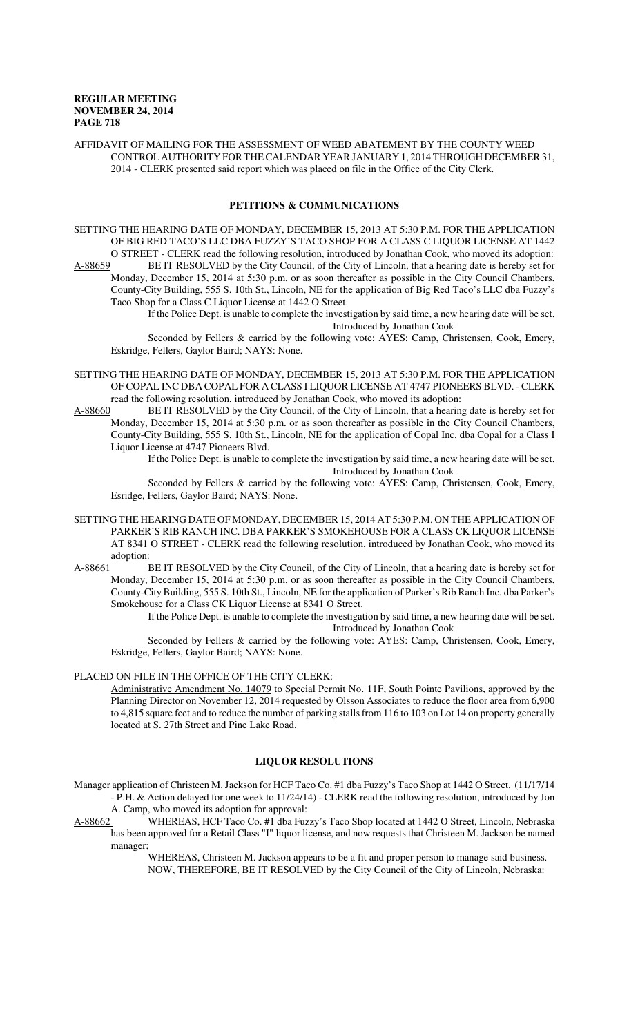AFFIDAVIT OF MAILING FOR THE ASSESSMENT OF WEED ABATEMENT BY THE COUNTY WEED CONTROL AUTHORITY FOR THE CALENDAR YEAR JANUARY 1, 2014 THROUGH DECEMBER 31, 2014 - CLERK presented said report which was placed on file in the Office of the City Clerk.

# **PETITIONS & COMMUNICATIONS**

SETTING THE HEARING DATE OF MONDAY, DECEMBER 15, 2013 AT 5:30 P.M. FOR THE APPLICATION OF BIG RED TACO'S LLC DBA FUZZY'S TACO SHOP FOR A CLASS C LIQUOR LICENSE AT 1442 O STREET - CLERK read the following resolution, introduced by Jonathan Cook, who moved its adoption: A-88659 BE IT RESOLVED by the City Council, of the City of Lincoln, that a hearing date is hereby set for

Monday, December 15, 2014 at 5:30 p.m. or as soon thereafter as possible in the City Council Chambers, County-City Building, 555 S. 10th St., Lincoln, NE for the application of Big Red Taco's LLC dba Fuzzy's Taco Shop for a Class C Liquor License at 1442 O Street.

If the Police Dept. is unable to complete the investigation by said time, a new hearing date will be set. Introduced by Jonathan Cook

Seconded by Fellers & carried by the following vote: AYES: Camp, Christensen, Cook, Emery, Eskridge, Fellers, Gaylor Baird; NAYS: None.

- SETTING THE HEARING DATE OF MONDAY, DECEMBER 15, 2013 AT 5:30 P.M. FOR THE APPLICATION OF COPAL INC DBA COPAL FOR A CLASS I LIQUOR LICENSE AT 4747 PIONEERS BLVD. - CLERK read the following resolution, introduced by Jonathan Cook, who moved its adoption:
- A-88660 BE IT RESOLVED by the City Council, of the City of Lincoln, that a hearing date is hereby set for Monday, December 15, 2014 at 5:30 p.m. or as soon thereafter as possible in the City Council Chambers, County-City Building, 555 S. 10th St., Lincoln, NE for the application of Copal Inc. dba Copal for a Class I Liquor License at 4747 Pioneers Blvd.

If the Police Dept. is unable to complete the investigation by said time, a new hearing date will be set. Introduced by Jonathan Cook

Seconded by Fellers & carried by the following vote: AYES: Camp, Christensen, Cook, Emery, Esridge, Fellers, Gaylor Baird; NAYS: None.

- SETTING THE HEARING DATE OF MONDAY, DECEMBER 15, 2014 AT 5:30 P.M. ON THE APPLICATION OF PARKER'S RIB RANCH INC. DBA PARKER'S SMOKEHOUSE FOR A CLASS CK LIQUOR LICENSE AT 8341 O STREET - CLERK read the following resolution, introduced by Jonathan Cook, who moved its adoption:
- A-88661 BE IT RESOLVED by the City Council, of the City of Lincoln, that a hearing date is hereby set for Monday, December 15, 2014 at 5:30 p.m. or as soon thereafter as possible in the City Council Chambers, County-City Building, 555 S. 10th St., Lincoln, NE for the application of Parker's Rib Ranch Inc. dba Parker's Smokehouse for a Class CK Liquor License at 8341 O Street.

If the Police Dept. is unable to complete the investigation by said time, a new hearing date will be set. Introduced by Jonathan Cook

Seconded by Fellers & carried by the following vote: AYES: Camp, Christensen, Cook, Emery, Eskridge, Fellers, Gaylor Baird; NAYS: None.

## PLACED ON FILE IN THE OFFICE OF THE CITY CLERK:

Administrative Amendment No. 14079 to Special Permit No. 11F, South Pointe Pavilions, approved by the Planning Director on November 12, 2014 requested by Olsson Associates to reduce the floor area from 6,900 to 4,815 square feet and to reduce the number of parking stalls from 116 to 103 on Lot 14 on property generally located at S. 27th Street and Pine Lake Road.

### **LIQUOR RESOLUTIONS**

- Manager application of Christeen M. Jackson for HCF Taco Co. #1 dba Fuzzy's Taco Shop at 1442 O Street. (11/17/14 - P.H. & Action delayed for one week to 11/24/14) - CLERK read the following resolution, introduced by Jon A. Camp, who moved its adoption for approval:
- A-88662 WHEREAS, HCF Taco Co. #1 dba Fuzzy's Taco Shop located at 1442 O Street, Lincoln, Nebraska has been approved for a Retail Class "I" liquor license, and now requests that Christeen M. Jackson be named manager;

WHEREAS, Christeen M. Jackson appears to be a fit and proper person to manage said business. NOW, THEREFORE, BE IT RESOLVED by the City Council of the City of Lincoln, Nebraska: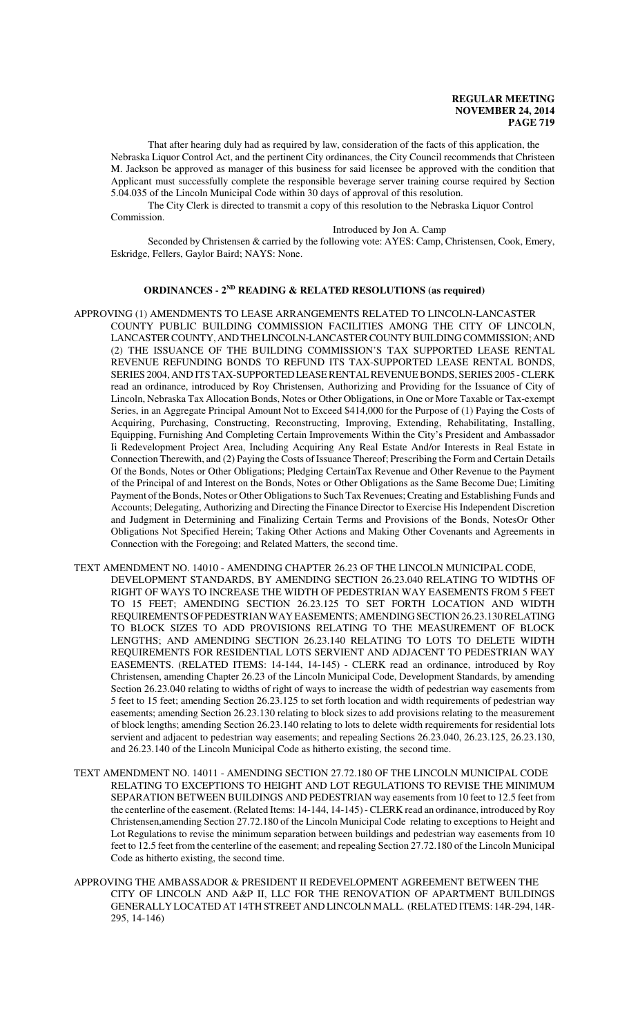That after hearing duly had as required by law, consideration of the facts of this application, the Nebraska Liquor Control Act, and the pertinent City ordinances, the City Council recommends that Christeen M. Jackson be approved as manager of this business for said licensee be approved with the condition that Applicant must successfully complete the responsible beverage server training course required by Section 5.04.035 of the Lincoln Municipal Code within 30 days of approval of this resolution.

The City Clerk is directed to transmit a copy of this resolution to the Nebraska Liquor Control Commission.

Introduced by Jon A. Camp

Seconded by Christensen & carried by the following vote: AYES: Camp, Christensen, Cook, Emery, Eskridge, Fellers, Gaylor Baird; NAYS: None.

# **ORDINANCES - 2ND READING & RELATED RESOLUTIONS (as required)**

- APPROVING (1) AMENDMENTS TO LEASE ARRANGEMENTS RELATED TO LINCOLN-LANCASTER COUNTY PUBLIC BUILDING COMMISSION FACILITIES AMONG THE CITY OF LINCOLN, LANCASTER COUNTY, AND THE LINCOLN-LANCASTER COUNTY BUILDING COMMISSION; AND (2) THE ISSUANCE OF THE BUILDING COMMISSION'S TAX SUPPORTED LEASE RENTAL REVENUE REFUNDING BONDS TO REFUND ITS TAX-SUPPORTED LEASE RENTAL BONDS, SERIES 2004, AND ITS TAX-SUPPORTED LEASE RENTAL REVENUE BONDS, SERIES 2005 - CLERK read an ordinance, introduced by Roy Christensen, Authorizing and Providing for the Issuance of City of Lincoln, Nebraska Tax Allocation Bonds, Notes or Other Obligations, in One or More Taxable or Tax-exempt Series, in an Aggregate Principal Amount Not to Exceed \$414,000 for the Purpose of (1) Paying the Costs of Acquiring, Purchasing, Constructing, Reconstructing, Improving, Extending, Rehabilitating, Installing, Equipping, Furnishing And Completing Certain Improvements Within the City's President and Ambassador Ii Redevelopment Project Area, Including Acquiring Any Real Estate And/or Interests in Real Estate in Connection Therewith, and (2) Paying the Costs of Issuance Thereof; Prescribing the Form and Certain Details Of the Bonds, Notes or Other Obligations; Pledging CertainTax Revenue and Other Revenue to the Payment of the Principal of and Interest on the Bonds, Notes or Other Obligations as the Same Become Due; Limiting Payment of the Bonds, Notes or Other Obligations to Such Tax Revenues; Creating and Establishing Funds and Accounts; Delegating, Authorizing and Directing the Finance Director to Exercise His Independent Discretion and Judgment in Determining and Finalizing Certain Terms and Provisions of the Bonds, NotesOr Other Obligations Not Specified Herein; Taking Other Actions and Making Other Covenants and Agreements in Connection with the Foregoing; and Related Matters, the second time.
- TEXT AMENDMENT NO. 14010 AMENDING CHAPTER 26.23 OF THE LINCOLN MUNICIPAL CODE, DEVELOPMENT STANDARDS, BY AMENDING SECTION 26.23.040 RELATING TO WIDTHS OF RIGHT OF WAYS TO INCREASE THE WIDTH OF PEDESTRIAN WAY EASEMENTS FROM 5 FEET TO 15 FEET; AMENDING SECTION 26.23.125 TO SET FORTH LOCATION AND WIDTH REQUIREMENTS OF PEDESTRIAN WAY EASEMENTS; AMENDING SECTION 26.23.130 RELATING TO BLOCK SIZES TO ADD PROVISIONS RELATING TO THE MEASUREMENT OF BLOCK LENGTHS; AND AMENDING SECTION 26.23.140 RELATING TO LOTS TO DELETE WIDTH REQUIREMENTS FOR RESIDENTIAL LOTS SERVIENT AND ADJACENT TO PEDESTRIAN WAY EASEMENTS. (RELATED ITEMS: 14-144, 14-145) - CLERK read an ordinance, introduced by Roy Christensen, amending Chapter 26.23 of the Lincoln Municipal Code, Development Standards, by amending Section 26.23.040 relating to widths of right of ways to increase the width of pedestrian way easements from 5 feet to 15 feet; amending Section 26.23.125 to set forth location and width requirements of pedestrian way easements; amending Section 26.23.130 relating to block sizes to add provisions relating to the measurement of block lengths; amending Section 26.23.140 relating to lots to delete width requirements for residential lots servient and adjacent to pedestrian way easements; and repealing Sections 26.23.040, 26.23.125, 26.23.130, and 26.23.140 of the Lincoln Municipal Code as hitherto existing, the second time.
- TEXT AMENDMENT NO. 14011 AMENDING SECTION 27.72.180 OF THE LINCOLN MUNICIPAL CODE RELATING TO EXCEPTIONS TO HEIGHT AND LOT REGULATIONS TO REVISE THE MINIMUM SEPARATION BETWEEN BUILDINGS AND PEDESTRIAN way easements from 10 feet to 12.5 feet from the centerline of the easement. (Related Items: 14-144, 14-145) - CLERK read an ordinance, introduced by Roy Christensen,amending Section 27.72.180 of the Lincoln Municipal Code relating to exceptions to Height and Lot Regulations to revise the minimum separation between buildings and pedestrian way easements from 10 feet to 12.5 feet from the centerline of the easement; and repealing Section 27.72.180 of the Lincoln Municipal Code as hitherto existing, the second time.
- APPROVING THE AMBASSADOR & PRESIDENT II REDEVELOPMENT AGREEMENT BETWEEN THE CITY OF LINCOLN AND A&P II, LLC FOR THE RENOVATION OF APARTMENT BUILDINGS GENERALLY LOCATED AT 14TH STREET AND LINCOLN MALL. (RELATED ITEMS: 14R-294, 14R-295, 14-146)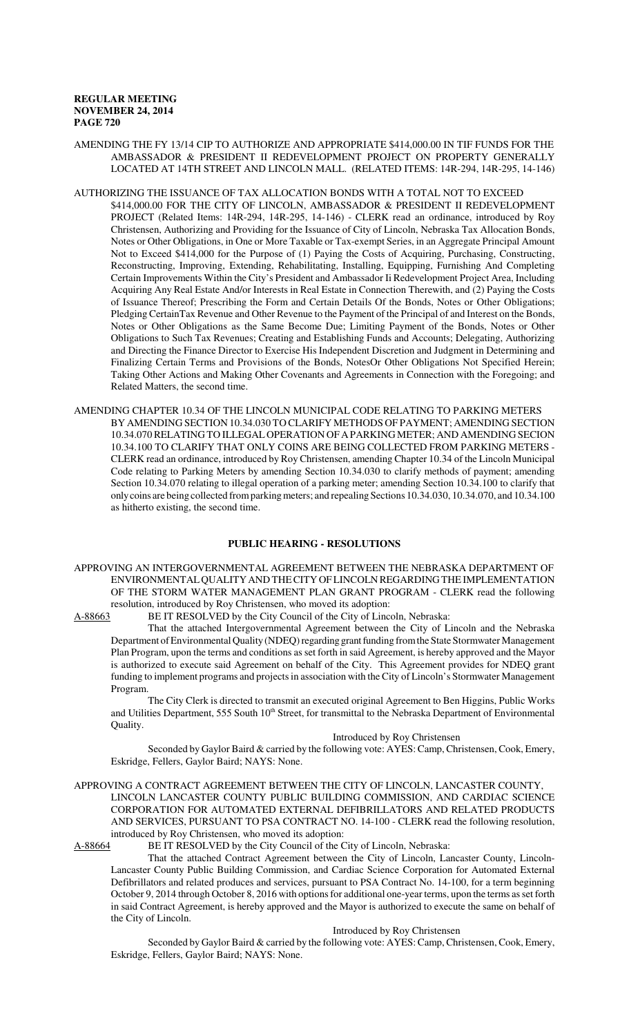### AMENDING THE FY 13/14 CIP TO AUTHORIZE AND APPROPRIATE \$414,000.00 IN TIF FUNDS FOR THE AMBASSADOR & PRESIDENT II REDEVELOPMENT PROJECT ON PROPERTY GENERALLY LOCATED AT 14TH STREET AND LINCOLN MALL. (RELATED ITEMS: 14R-294, 14R-295, 14-146)

#### AUTHORIZING THE ISSUANCE OF TAX ALLOCATION BONDS WITH A TOTAL NOT TO EXCEED

- \$414,000.00 FOR THE CITY OF LINCOLN, AMBASSADOR & PRESIDENT II REDEVELOPMENT PROJECT (Related Items: 14R-294, 14R-295, 14-146) - CLERK read an ordinance, introduced by Roy Christensen, Authorizing and Providing for the Issuance of City of Lincoln, Nebraska Tax Allocation Bonds, Notes or Other Obligations, in One or More Taxable or Tax-exempt Series, in an Aggregate Principal Amount Not to Exceed \$414,000 for the Purpose of (1) Paying the Costs of Acquiring, Purchasing, Constructing, Reconstructing, Improving, Extending, Rehabilitating, Installing, Equipping, Furnishing And Completing Certain Improvements Within the City's President and Ambassador Ii Redevelopment Project Area, Including Acquiring Any Real Estate And/or Interests in Real Estate in Connection Therewith, and (2) Paying the Costs of Issuance Thereof; Prescribing the Form and Certain Details Of the Bonds, Notes or Other Obligations; Pledging CertainTax Revenue and Other Revenue to the Payment of the Principal of and Interest on the Bonds, Notes or Other Obligations as the Same Become Due; Limiting Payment of the Bonds, Notes or Other Obligations to Such Tax Revenues; Creating and Establishing Funds and Accounts; Delegating, Authorizing and Directing the Finance Director to Exercise His Independent Discretion and Judgment in Determining and Finalizing Certain Terms and Provisions of the Bonds, NotesOr Other Obligations Not Specified Herein; Taking Other Actions and Making Other Covenants and Agreements in Connection with the Foregoing; and Related Matters, the second time.
- AMENDING CHAPTER 10.34 OF THE LINCOLN MUNICIPAL CODE RELATING TO PARKING METERS BY AMENDING SECTION 10.34.030 TO CLARIFY METHODS OF PAYMENT; AMENDING SECTION 10.34.070 RELATING TO ILLEGAL OPERATION OF A PARKING METER; AND AMENDING SECION 10.34.100 TO CLARIFY THAT ONLY COINS ARE BEING COLLECTED FROM PARKING METERS - CLERK read an ordinance, introduced by Roy Christensen, amending Chapter 10.34 of the Lincoln Municipal Code relating to Parking Meters by amending Section 10.34.030 to clarify methods of payment; amending Section 10.34.070 relating to illegal operation of a parking meter; amending Section 10.34.100 to clarify that only coins are being collected from parking meters; and repealing Sections 10.34.030, 10.34.070, and 10.34.100 as hitherto existing, the second time.

# **PUBLIC HEARING - RESOLUTIONS**

APPROVING AN INTERGOVERNMENTAL AGREEMENT BETWEEN THE NEBRASKA DEPARTMENT OF ENVIRONMENTAL QUALITY AND THE CITY OF LINCOLN REGARDING THE IMPLEMENTATION OF THE STORM WATER MANAGEMENT PLAN GRANT PROGRAM - CLERK read the following resolution, introduced by Roy Christensen, who moved its adoption:<br>A-88663 BE IT RESOLVED by the City Council of the City of Linco

BE IT RESOLVED by the City Council of the City of Lincoln, Nebraska:

That the attached Intergovernmental Agreement between the City of Lincoln and the Nebraska Department of Environmental Quality (NDEQ) regarding grant funding from the State Stormwater Management Plan Program, upon the terms and conditions as set forth in said Agreement, is hereby approved and the Mayor is authorized to execute said Agreement on behalf of the City. This Agreement provides for NDEQ grant funding to implement programs and projects in association with the City of Lincoln's Stormwater Management Program.

The City Clerk is directed to transmit an executed original Agreement to Ben Higgins, Public Works and Utilities Department, 555 South 10<sup>th</sup> Street, for transmittal to the Nebraska Department of Environmental Quality.

#### Introduced by Roy Christensen

Seconded by Gaylor Baird & carried by the following vote: AYES: Camp, Christensen, Cook, Emery, Eskridge, Fellers, Gaylor Baird; NAYS: None.

APPROVING A CONTRACT AGREEMENT BETWEEN THE CITY OF LINCOLN, LANCASTER COUNTY, LINCOLN LANCASTER COUNTY PUBLIC BUILDING COMMISSION, AND CARDIAC SCIENCE CORPORATION FOR AUTOMATED EXTERNAL DEFIBRILLATORS AND RELATED PRODUCTS AND SERVICES, PURSUANT TO PSA CONTRACT NO. 14-100 - CLERK read the following resolution, introduced by Roy Christensen, who moved its adoption:<br>A-88664 BE IT RESOLVED by the City Council of the C

BE IT RESOLVED by the City Council of the City of Lincoln, Nebraska:

That the attached Contract Agreement between the City of Lincoln, Lancaster County, Lincoln-Lancaster County Public Building Commission, and Cardiac Science Corporation for Automated External Defibrillators and related produces and services, pursuant to PSA Contract No. 14-100, for a term beginning October 9, 2014 through October 8, 2016 with options for additional one-year terms, upon the terms as set forth in said Contract Agreement, is hereby approved and the Mayor is authorized to execute the same on behalf of the City of Lincoln.

#### Introduced by Roy Christensen

Seconded by Gaylor Baird & carried by the following vote: AYES: Camp, Christensen, Cook, Emery, Eskridge, Fellers, Gaylor Baird; NAYS: None.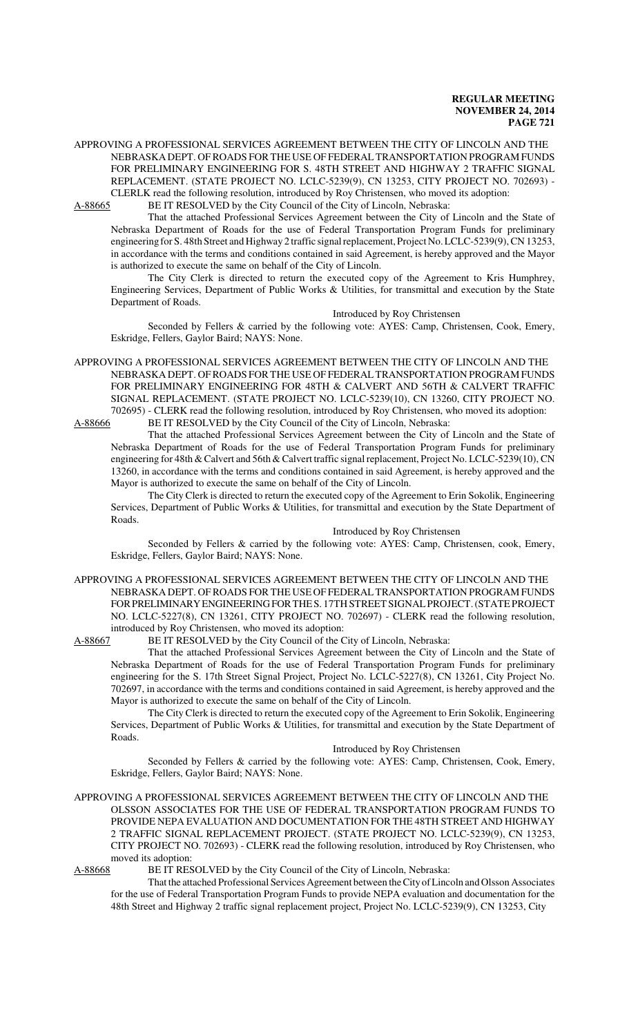APPROVING A PROFESSIONAL SERVICES AGREEMENT BETWEEN THE CITY OF LINCOLN AND THE NEBRASKA DEPT. OF ROADS FOR THE USE OF FEDERAL TRANSPORTATION PROGRAM FUNDS FOR PRELIMINARY ENGINEERING FOR S. 48TH STREET AND HIGHWAY 2 TRAFFIC SIGNAL REPLACEMENT. (STATE PROJECT NO. LCLC-5239(9), CN 13253, CITY PROJECT NO. 702693) - CLERLK read the following resolution, introduced by Roy Christensen, who moved its adoption:

A-88665 BE IT RESOLVED by the City Council of the City of Lincoln, Nebraska:

That the attached Professional Services Agreement between the City of Lincoln and the State of Nebraska Department of Roads for the use of Federal Transportation Program Funds for preliminary engineering for S. 48th Street and Highway 2 traffic signal replacement, Project No. LCLC-5239(9), CN 13253, in accordance with the terms and conditions contained in said Agreement, is hereby approved and the Mayor is authorized to execute the same on behalf of the City of Lincoln.

The City Clerk is directed to return the executed copy of the Agreement to Kris Humphrey, Engineering Services, Department of Public Works & Utilities, for transmittal and execution by the State Department of Roads.

Introduced by Roy Christensen

Seconded by Fellers & carried by the following vote: AYES: Camp, Christensen, Cook, Emery, Eskridge, Fellers, Gaylor Baird; NAYS: None.

APPROVING A PROFESSIONAL SERVICES AGREEMENT BETWEEN THE CITY OF LINCOLN AND THE NEBRASKA DEPT. OF ROADS FOR THE USE OF FEDERAL TRANSPORTATION PROGRAM FUNDS FOR PRELIMINARY ENGINEERING FOR 48TH & CALVERT AND 56TH & CALVERT TRAFFIC SIGNAL REPLACEMENT. (STATE PROJECT NO. LCLC-5239(10), CN 13260, CITY PROJECT NO. 702695) - CLERK read the following resolution, introduced by Roy Christensen, who moved its adoption: A-88666 BE IT RESOLVED by the City Council of the City of Lincoln, Nebraska:

That the attached Professional Services Agreement between the City of Lincoln and the State of Nebraska Department of Roads for the use of Federal Transportation Program Funds for preliminary engineering for 48th & Calvert and 56th & Calvert traffic signal replacement, Project No. LCLC-5239(10), CN 13260, in accordance with the terms and conditions contained in said Agreement, is hereby approved and the Mayor is authorized to execute the same on behalf of the City of Lincoln.

The City Clerk is directed to return the executed copy of the Agreement to Erin Sokolik, Engineering Services, Department of Public Works & Utilities, for transmittal and execution by the State Department of Roads.

Introduced by Roy Christensen

Seconded by Fellers & carried by the following vote: AYES: Camp, Christensen, cook, Emery, Eskridge, Fellers, Gaylor Baird; NAYS: None.

APPROVING A PROFESSIONAL SERVICES AGREEMENT BETWEEN THE CITY OF LINCOLN AND THE NEBRASKA DEPT. OF ROADS FOR THE USE OF FEDERAL TRANSPORTATION PROGRAM FUNDS FOR PRELIMINARY ENGINEERING FOR THE S. 17TH STREET SIGNAL PROJECT. (STATE PROJECT NO. LCLC-5227(8), CN 13261, CITY PROJECT NO. 702697) - CLERK read the following resolution, introduced by Roy Christensen, who moved its adoption:

A-88667 BE IT RESOLVED by the City Council of the City of Lincoln, Nebraska:

That the attached Professional Services Agreement between the City of Lincoln and the State of Nebraska Department of Roads for the use of Federal Transportation Program Funds for preliminary engineering for the S. 17th Street Signal Project, Project No. LCLC-5227(8), CN 13261, City Project No. 702697, in accordance with the terms and conditions contained in said Agreement, is hereby approved and the Mayor is authorized to execute the same on behalf of the City of Lincoln.

The City Clerk is directed to return the executed copy of the Agreement to Erin Sokolik, Engineering Services, Department of Public Works & Utilities, for transmittal and execution by the State Department of Roads.

Introduced by Roy Christensen

Seconded by Fellers & carried by the following vote: AYES: Camp, Christensen, Cook, Emery, Eskridge, Fellers, Gaylor Baird; NAYS: None.

APPROVING A PROFESSIONAL SERVICES AGREEMENT BETWEEN THE CITY OF LINCOLN AND THE OLSSON ASSOCIATES FOR THE USE OF FEDERAL TRANSPORTATION PROGRAM FUNDS TO PROVIDE NEPA EVALUATION AND DOCUMENTATION FOR THE 48TH STREET AND HIGHWAY 2 TRAFFIC SIGNAL REPLACEMENT PROJECT. (STATE PROJECT NO. LCLC-5239(9), CN 13253, CITY PROJECT NO. 702693) - CLERK read the following resolution, introduced by Roy Christensen, who moved its adoption:

A-88668 BE IT RESOLVED by the City Council of the City of Lincoln, Nebraska:

That the attached Professional Services Agreement between the City of Lincoln and Olsson Associates for the use of Federal Transportation Program Funds to provide NEPA evaluation and documentation for the 48th Street and Highway 2 traffic signal replacement project, Project No. LCLC-5239(9), CN 13253, City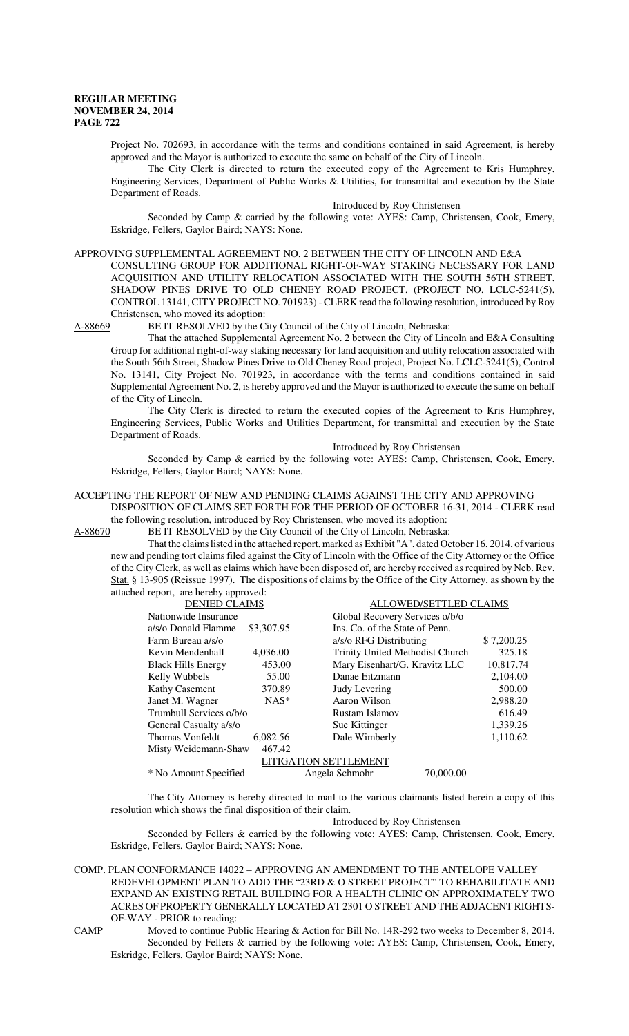Project No. 702693, in accordance with the terms and conditions contained in said Agreement, is hereby approved and the Mayor is authorized to execute the same on behalf of the City of Lincoln.

The City Clerk is directed to return the executed copy of the Agreement to Kris Humphrey, Engineering Services, Department of Public Works & Utilities, for transmittal and execution by the State Department of Roads.

#### Introduced by Roy Christensen

Seconded by Camp & carried by the following vote: AYES: Camp, Christensen, Cook, Emery, Eskridge, Fellers, Gaylor Baird; NAYS: None.

APPROVING SUPPLEMENTAL AGREEMENT NO. 2 BETWEEN THE CITY OF LINCOLN AND E&A

CONSULTING GROUP FOR ADDITIONAL RIGHT-OF-WAY STAKING NECESSARY FOR LAND ACQUISITION AND UTILITY RELOCATION ASSOCIATED WITH THE SOUTH 56TH STREET, SHADOW PINES DRIVE TO OLD CHENEY ROAD PROJECT. (PROJECT NO. LCLC-5241(5), CONTROL 13141, CITY PROJECT NO. 701923) - CLERK read the following resolution, introduced by Roy Christensen, who moved its adoption:

A-88669 BE IT RESOLVED by the City Council of the City of Lincoln, Nebraska:

That the attached Supplemental Agreement No. 2 between the City of Lincoln and E&A Consulting Group for additional right-of-way staking necessary for land acquisition and utility relocation associated with the South 56th Street, Shadow Pines Drive to Old Cheney Road project, Project No. LCLC-5241(5), Control No. 13141, City Project No. 701923, in accordance with the terms and conditions contained in said Supplemental Agreement No. 2, is hereby approved and the Mayor is authorized to execute the same on behalf of the City of Lincoln.

The City Clerk is directed to return the executed copies of the Agreement to Kris Humphrey, Engineering Services, Public Works and Utilities Department, for transmittal and execution by the State Department of Roads.

Introduced by Roy Christensen

Seconded by Camp & carried by the following vote: AYES: Camp, Christensen, Cook, Emery, Eskridge, Fellers, Gaylor Baird; NAYS: None.

### ACCEPTING THE REPORT OF NEW AND PENDING CLAIMS AGAINST THE CITY AND APPROVING

DISPOSITION OF CLAIMS SET FORTH FOR THE PERIOD OF OCTOBER 16-31, 2014 - CLERK read the following resolution, introduced by Roy Christensen, who moved its adoption:

A-88670 BE IT RESOLVED by the City Council of the City of Lincoln, Nebraska:

That the claims listed in the attached report, marked as Exhibit "A", dated October 16, 2014, of various new and pending tort claims filed against the City of Lincoln with the Office of the City Attorney or the Office of the City Clerk, as well as claims which have been disposed of, are hereby received as required by Neb. Rev. Stat. § 13-905 (Reissue 1997). The dispositions of claims by the Office of the City Attorney, as shown by the attached report, are hereby approved:

| <b>DENIED CLAIMS</b>         |            | ALLOWED/SETTLED CLAIMS          |            |
|------------------------------|------------|---------------------------------|------------|
| Nationwide Insurance         |            | Global Recovery Services o/b/o  |            |
| a/s/o Donald Flamme          | \$3,307.95 | Ins. Co. of the State of Penn.  |            |
| Farm Bureau a/s/o            |            | a/s/o RFG Distributing          | \$7,200.25 |
| Kevin Mendenhall             | 4,036.00   | Trinity United Methodist Church | 325.18     |
| <b>Black Hills Energy</b>    | 453.00     | Mary Eisenhart/G. Kravitz LLC   | 10,817.74  |
| Kelly Wubbels                | 55.00      | Danae Eitzmann                  | 2,104.00   |
| <b>Kathy Casement</b>        | 370.89     | Judy Levering                   | 500.00     |
| Janet M. Wagner              | $NAS^*$    | Aaron Wilson                    | 2,988.20   |
| Trumbull Services o/b/o      |            | Rustam Islamov                  | 616.49     |
| General Casualty a/s/o       |            | Sue Kittinger                   | 1,339.26   |
| Thomas Vonfeldt              | 6,082.56   | Dale Wimberly                   | 1,110.62   |
| Misty Weidemann-Shaw         | 467.42     |                                 |            |
| <b>LITIGATION SETTLEMENT</b> |            |                                 |            |
| * No Amount Specified        |            | 70,000.00<br>Angela Schmohr     |            |

The City Attorney is hereby directed to mail to the various claimants listed herein a copy of this resolution which shows the final disposition of their claim.

Introduced by Roy Christensen

Seconded by Fellers & carried by the following vote: AYES: Camp, Christensen, Cook, Emery, Eskridge, Fellers, Gaylor Baird; NAYS: None.

COMP. PLAN CONFORMANCE 14022 – APPROVING AN AMENDMENT TO THE ANTELOPE VALLEY REDEVELOPMENT PLAN TO ADD THE "23RD & O STREET PROJECT" TO REHABILITATE AND EXPAND AN EXISTING RETAIL BUILDING FOR A HEALTH CLINIC ON APPROXIMATELY TWO ACRES OF PROPERTY GENERALLY LOCATED AT 2301 O STREET AND THE ADJACENT RIGHTS-OF-WAY - PRIOR to reading:

CAMP Moved to continue Public Hearing & Action for Bill No. 14R-292 two weeks to December 8, 2014. Seconded by Fellers & carried by the following vote: AYES: Camp, Christensen, Cook, Emery, Eskridge, Fellers, Gaylor Baird; NAYS: None.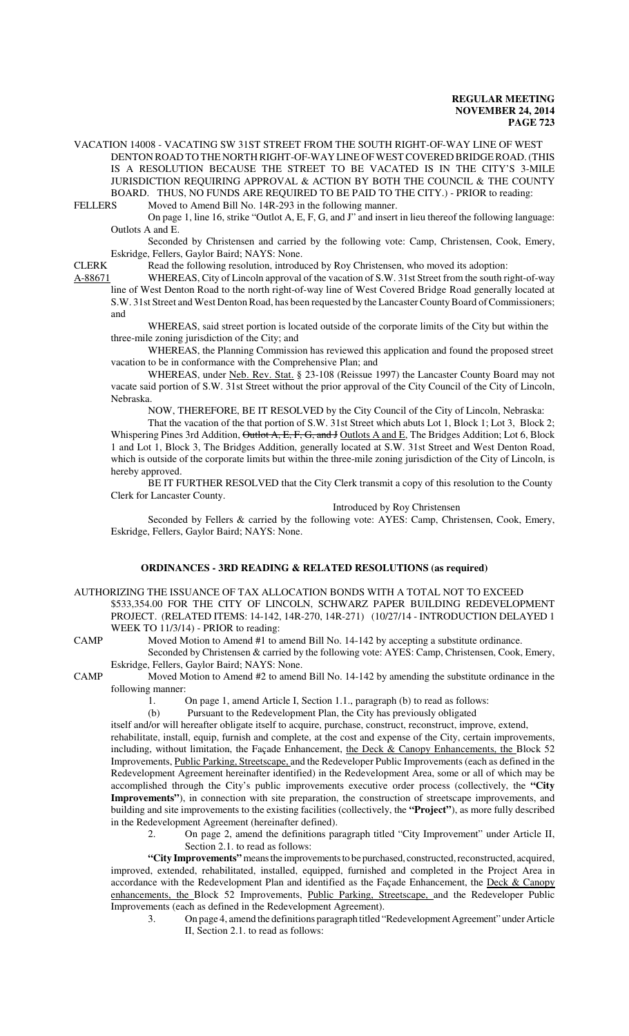VACATION 14008 - VACATING SW 31ST STREET FROM THE SOUTH RIGHT-OF-WAY LINE OF WEST DENTON ROAD TO THE NORTH RIGHT-OF-WAY LINE OF WEST COVERED BRIDGE ROAD. (THIS IS A RESOLUTION BECAUSE THE STREET TO BE VACATED IS IN THE CITY'S 3-MILE JURISDICTION REQUIRING APPROVAL & ACTION BY BOTH THE COUNCIL & THE COUNTY BOARD. THUS, NO FUNDS ARE REQUIRED TO BE PAID TO THE CITY.) - PRIOR to reading:<br>FELLERS Moved to Amend Bill No. 14R-293 in the following manner

Moved to Amend Bill No. 14R-293 in the following manner.

On page 1, line 16, strike "Outlot A, E, F, G, and J" and insert in lieu thereof the following language: Outlots A and E.

Seconded by Christensen and carried by the following vote: Camp, Christensen, Cook, Emery, Eskridge, Fellers, Gaylor Baird; NAYS: None.

CLERK Read the following resolution, introduced by Roy Christensen, who moved its adoption:

A-88671 WHEREAS, City of Lincoln approval of the vacation of S.W. 31st Street from the south right-of-way line of West Denton Road to the north right-of-way line of West Covered Bridge Road generally located at

S.W. 31st Street and West Denton Road, has been requested by the Lancaster County Board of Commissioners; and

WHEREAS, said street portion is located outside of the corporate limits of the City but within the three-mile zoning jurisdiction of the City; and

WHEREAS, the Planning Commission has reviewed this application and found the proposed street vacation to be in conformance with the Comprehensive Plan; and

WHEREAS, under Neb. Rev. Stat. § 23-108 (Reissue 1997) the Lancaster County Board may not vacate said portion of S.W. 31st Street without the prior approval of the City Council of the City of Lincoln, Nebraska.

NOW, THEREFORE, BE IT RESOLVED by the City Council of the City of Lincoln, Nebraska:

That the vacation of the that portion of S.W. 31st Street which abuts Lot 1, Block 1; Lot 3, Block 2; Whispering Pines 3rd Addition, Outlot A, E, F, G, and J Outlots A and E, The Bridges Addition; Lot 6, Block 1 and Lot 1, Block 3, The Bridges Addition, generally located at S.W. 31st Street and West Denton Road, which is outside of the corporate limits but within the three-mile zoning jurisdiction of the City of Lincoln, is hereby approved.

BE IT FURTHER RESOLVED that the City Clerk transmit a copy of this resolution to the County Clerk for Lancaster County.

Introduced by Roy Christensen

Seconded by Fellers & carried by the following vote: AYES: Camp, Christensen, Cook, Emery, Eskridge, Fellers, Gaylor Baird; NAYS: None.

# **ORDINANCES - 3RD READING & RELATED RESOLUTIONS (as required)**

- AUTHORIZING THE ISSUANCE OF TAX ALLOCATION BONDS WITH A TOTAL NOT TO EXCEED \$533,354.00 FOR THE CITY OF LINCOLN, SCHWARZ PAPER BUILDING REDEVELOPMENT PROJECT. (RELATED ITEMS: 14-142, 14R-270, 14R-271) (10/27/14 - INTRODUCTION DELAYED 1 WEEK TO 11/3/14) - PRIOR to reading:
- CAMP Moved Motion to Amend #1 to amend Bill No. 14-142 by accepting a substitute ordinance.

Seconded by Christensen & carried by the following vote: AYES: Camp, Christensen, Cook, Emery, Eskridge, Fellers, Gaylor Baird; NAYS: None.

CAMP Moved Motion to Amend #2 to amend Bill No. 14-142 by amending the substitute ordinance in the following manner:

1. On page 1, amend Article I, Section 1.1., paragraph (b) to read as follows:

(b) Pursuant to the Redevelopment Plan, the City has previously obligated

itself and/or will hereafter obligate itself to acquire, purchase, construct, reconstruct, improve, extend, rehabilitate, install, equip, furnish and complete, at the cost and expense of the City, certain improvements, including, without limitation, the Façade Enhancement, the Deck  $& Canopy$  Enhancements, the Block 52 Improvements, Public Parking, Streetscape, and the Redeveloper Public Improvements (each as defined in the Redevelopment Agreement hereinafter identified) in the Redevelopment Area, some or all of which may be accomplished through the City's public improvements executive order process (collectively, the **"City Improvements"**), in connection with site preparation, the construction of streetscape improvements, and building and site improvements to the existing facilities (collectively, the **"Project"**), as more fully described in the Redevelopment Agreement (hereinafter defined).

2. On page 2, amend the definitions paragraph titled "City Improvement" under Article II, Section 2.1. to read as follows:

**"City Improvements"** means the improvements to be purchased, constructed, reconstructed, acquired, improved, extended, rehabilitated, installed, equipped, furnished and completed in the Project Area in accordance with the Redevelopment Plan and identified as the Façade Enhancement, the Deck & Canopy enhancements, the Block 52 Improvements, Public Parking, Streetscape, and the Redeveloper Public Improvements (each as defined in the Redevelopment Agreement).

3. On page 4, amend the definitions paragraph titled "Redevelopment Agreement" under Article II, Section 2.1. to read as follows: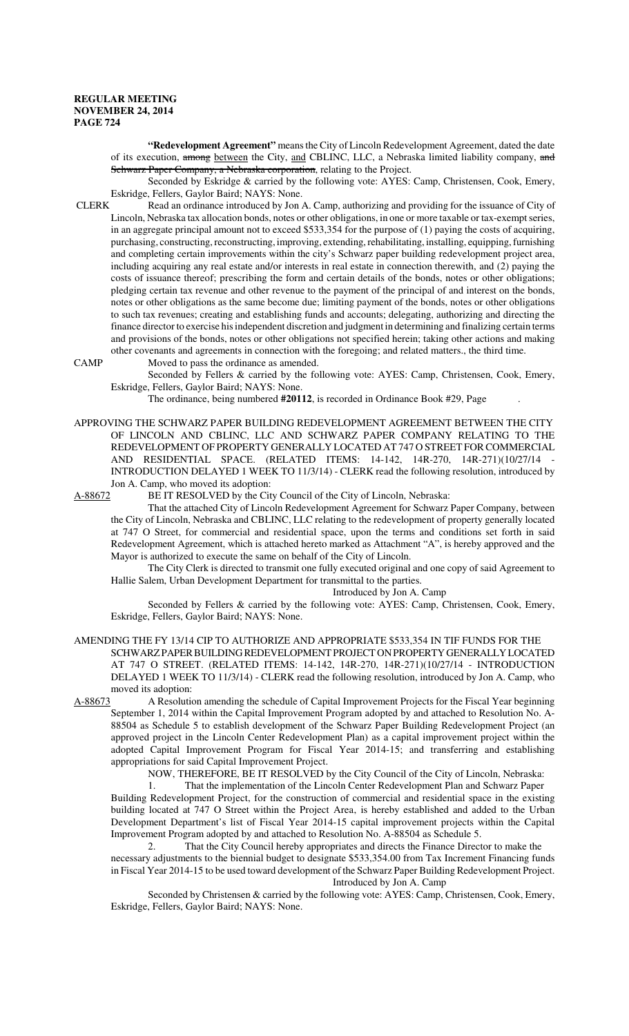**"Redevelopment Agreement"** means the City of Lincoln Redevelopment Agreement, dated the date of its execution, among between the City, and CBLINC, LLC, a Nebraska limited liability company, and Schwarz Paper Company, a Nebraska corporation, relating to the Project.

Seconded by Eskridge & carried by the following vote: AYES: Camp, Christensen, Cook, Emery, Eskridge, Fellers, Gaylor Baird; NAYS: None.<br>CLERK Read an ordinance introduced by Jon

Read an ordinance introduced by Jon A. Camp, authorizing and providing for the issuance of City of Lincoln, Nebraska tax allocation bonds, notes or other obligations, in one or more taxable or tax-exempt series, in an aggregate principal amount not to exceed \$533,354 for the purpose of (1) paying the costs of acquiring, purchasing, constructing, reconstructing, improving, extending, rehabilitating, installing, equipping, furnishing and completing certain improvements within the city's Schwarz paper building redevelopment project area, including acquiring any real estate and/or interests in real estate in connection therewith, and (2) paying the costs of issuance thereof; prescribing the form and certain details of the bonds, notes or other obligations; pledging certain tax revenue and other revenue to the payment of the principal of and interest on the bonds, notes or other obligations as the same become due; limiting payment of the bonds, notes or other obligations to such tax revenues; creating and establishing funds and accounts; delegating, authorizing and directing the finance director to exercise his independent discretion and judgment in determining and finalizing certain terms and provisions of the bonds, notes or other obligations not specified herein; taking other actions and making other covenants and agreements in connection with the foregoing; and related matters., the third time.

CAMP Moved to pass the ordinance as amended.

Seconded by Fellers & carried by the following vote: AYES: Camp, Christensen, Cook, Emery, Eskridge, Fellers, Gaylor Baird; NAYS: None.

The ordinance, being numbered **#20112**, is recorded in Ordinance Book #29, Page .

APPROVING THE SCHWARZ PAPER BUILDING REDEVELOPMENT AGREEMENT BETWEEN THE CITY OF LINCOLN AND CBLINC, LLC AND SCHWARZ PAPER COMPANY RELATING TO THE REDEVELOPMENT OF PROPERTY GENERALLY LOCATED AT 747 O STREET FOR COMMERCIAL AND RESIDENTIAL SPACE. (RELATED ITEMS: 14-142, 14R-270, 14R-271)(10/27/14 INTRODUCTION DELAYED 1 WEEK TO 11/3/14) - CLERK read the following resolution, introduced by Jon A. Camp, who moved its adoption:

A-88672 BE IT RESOLVED by the City Council of the City of Lincoln, Nebraska:

That the attached City of Lincoln Redevelopment Agreement for Schwarz Paper Company, between the City of Lincoln, Nebraska and CBLINC, LLC relating to the redevelopment of property generally located at 747 O Street, for commercial and residential space, upon the terms and conditions set forth in said Redevelopment Agreement, which is attached hereto marked as Attachment "A", is hereby approved and the Mayor is authorized to execute the same on behalf of the City of Lincoln.

The City Clerk is directed to transmit one fully executed original and one copy of said Agreement to Hallie Salem, Urban Development Department for transmittal to the parties.

Introduced by Jon A. Camp

Seconded by Fellers & carried by the following vote: AYES: Camp, Christensen, Cook, Emery, Eskridge, Fellers, Gaylor Baird; NAYS: None.

AMENDING THE FY 13/14 CIP TO AUTHORIZE AND APPROPRIATE \$533,354 IN TIF FUNDS FOR THE SCHWARZ PAPER BUILDING REDEVELOPMENT PROJECT ON PROPERTY GENERALLY LOCATED AT 747 O STREET. (RELATED ITEMS: 14-142, 14R-270, 14R-271)(10/27/14 - INTRODUCTION DELAYED 1 WEEK TO 11/3/14) - CLERK read the following resolution, introduced by Jon A. Camp, who moved its adoption:

A-88673 A Resolution amending the schedule of Capital Improvement Projects for the Fiscal Year beginning September 1, 2014 within the Capital Improvement Program adopted by and attached to Resolution No. A-88504 as Schedule 5 to establish development of the Schwarz Paper Building Redevelopment Project (an approved project in the Lincoln Center Redevelopment Plan) as a capital improvement project within the adopted Capital Improvement Program for Fiscal Year 2014-15; and transferring and establishing appropriations for said Capital Improvement Project.

NOW, THEREFORE, BE IT RESOLVED by the City Council of the City of Lincoln, Nebraska:

That the implementation of the Lincoln Center Redevelopment Plan and Schwarz Paper Building Redevelopment Project, for the construction of commercial and residential space in the existing building located at 747 O Street within the Project Area, is hereby established and added to the Urban Development Department's list of Fiscal Year 2014-15 capital improvement projects within the Capital Improvement Program adopted by and attached to Resolution No. A-88504 as Schedule 5.

2. That the City Council hereby appropriates and directs the Finance Director to make the necessary adjustments to the biennial budget to designate \$533,354.00 from Tax Increment Financing funds in Fiscal Year 2014-15 to be used toward development of the Schwarz Paper Building Redevelopment Project. Introduced by Jon A. Camp

Seconded by Christensen & carried by the following vote: AYES: Camp, Christensen, Cook, Emery, Eskridge, Fellers, Gaylor Baird; NAYS: None.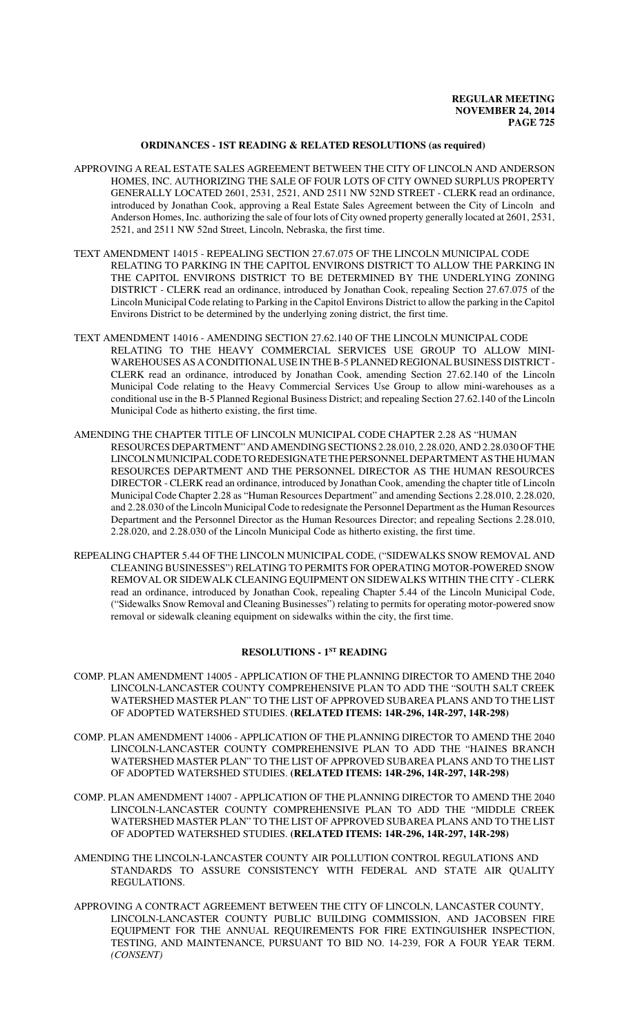### **ORDINANCES - 1ST READING & RELATED RESOLUTIONS (as required)**

- APPROVING A REAL ESTATE SALES AGREEMENT BETWEEN THE CITY OF LINCOLN AND ANDERSON HOMES, INC. AUTHORIZING THE SALE OF FOUR LOTS OF CITY OWNED SURPLUS PROPERTY GENERALLY LOCATED 2601, 2531, 2521, AND 2511 NW 52ND STREET - CLERK read an ordinance, introduced by Jonathan Cook, approving a Real Estate Sales Agreement between the City of Lincoln and Anderson Homes, Inc. authorizing the sale of four lots of City owned property generally located at 2601, 2531, 2521, and 2511 NW 52nd Street, Lincoln, Nebraska, the first time.
- TEXT AMENDMENT 14015 REPEALING SECTION 27.67.075 OF THE LINCOLN MUNICIPAL CODE RELATING TO PARKING IN THE CAPITOL ENVIRONS DISTRICT TO ALLOW THE PARKING IN THE CAPITOL ENVIRONS DISTRICT TO BE DETERMINED BY THE UNDERLYING ZONING DISTRICT - CLERK read an ordinance, introduced by Jonathan Cook, repealing Section 27.67.075 of the Lincoln Municipal Code relating to Parking in the Capitol Environs District to allow the parking in the Capitol Environs District to be determined by the underlying zoning district, the first time.
- TEXT AMENDMENT 14016 AMENDING SECTION 27.62.140 OF THE LINCOLN MUNICIPAL CODE RELATING TO THE HEAVY COMMERCIAL SERVICES USE GROUP TO ALLOW MINI-WAREHOUSES AS A CONDITIONAL USE IN THE B-5 PLANNED REGIONAL BUSINESS DISTRICT - CLERK read an ordinance, introduced by Jonathan Cook, amending Section 27.62.140 of the Lincoln Municipal Code relating to the Heavy Commercial Services Use Group to allow mini-warehouses as a conditional use in the B-5 Planned Regional Business District; and repealing Section 27.62.140 of the Lincoln Municipal Code as hitherto existing, the first time.
- AMENDING THE CHAPTER TITLE OF LINCOLN MUNICIPAL CODE CHAPTER 2.28 AS "HUMAN RESOURCES DEPARTMENT" AND AMENDING SECTIONS 2.28.010, 2.28.020, AND 2.28.030 OF THE LINCOLN MUNICIPAL CODE TO REDESIGNATE THE PERSONNEL DEPARTMENT AS THE HUMAN RESOURCES DEPARTMENT AND THE PERSONNEL DIRECTOR AS THE HUMAN RESOURCES DIRECTOR - CLERK read an ordinance, introduced by Jonathan Cook, amending the chapter title of Lincoln Municipal Code Chapter 2.28 as "Human Resources Department" and amending Sections 2.28.010, 2.28.020, and 2.28.030 of the Lincoln Municipal Code to redesignate the Personnel Department as the Human Resources Department and the Personnel Director as the Human Resources Director; and repealing Sections 2.28.010, 2.28.020, and 2.28.030 of the Lincoln Municipal Code as hitherto existing, the first time.
- REPEALING CHAPTER 5.44 OF THE LINCOLN MUNICIPAL CODE, ("SIDEWALKS SNOW REMOVAL AND CLEANING BUSINESSES") RELATING TO PERMITS FOR OPERATING MOTOR-POWERED SNOW REMOVAL OR SIDEWALK CLEANING EQUIPMENT ON SIDEWALKS WITHIN THE CITY - CLERK read an ordinance, introduced by Jonathan Cook, repealing Chapter 5.44 of the Lincoln Municipal Code, ("Sidewalks Snow Removal and Cleaning Businesses") relating to permits for operating motor-powered snow removal or sidewalk cleaning equipment on sidewalks within the city, the first time.

# **RESOLUTIONS - 1ST READING**

- COMP. PLAN AMENDMENT 14005 APPLICATION OF THE PLANNING DIRECTOR TO AMEND THE 2040 LINCOLN-LANCASTER COUNTY COMPREHENSIVE PLAN TO ADD THE "SOUTH SALT CREEK WATERSHED MASTER PLAN" TO THE LIST OF APPROVED SUBAREA PLANS AND TO THE LIST OF ADOPTED WATERSHED STUDIES. **(RELATED ITEMS: 14R-296, 14R-297, 14R-298)**
- COMP. PLAN AMENDMENT 14006 APPLICATION OF THE PLANNING DIRECTOR TO AMEND THE 2040 LINCOLN-LANCASTER COUNTY COMPREHENSIVE PLAN TO ADD THE "HAINES BRANCH WATERSHED MASTER PLAN" TO THE LIST OF APPROVED SUBAREA PLANS AND TO THE LIST OF ADOPTED WATERSHED STUDIES. **(RELATED ITEMS: 14R-296, 14R-297, 14R-298)**
- COMP. PLAN AMENDMENT 14007 APPLICATION OF THE PLANNING DIRECTOR TO AMEND THE 2040 LINCOLN-LANCASTER COUNTY COMPREHENSIVE PLAN TO ADD THE "MIDDLE CREEK WATERSHED MASTER PLAN" TO THE LIST OF APPROVED SUBAREA PLANS AND TO THE LIST OF ADOPTED WATERSHED STUDIES. **(RELATED ITEMS: 14R-296, 14R-297, 14R-298)**
- AMENDING THE LINCOLN-LANCASTER COUNTY AIR POLLUTION CONTROL REGULATIONS AND STANDARDS TO ASSURE CONSISTENCY WITH FEDERAL AND STATE AIR QUALITY REGULATIONS.
- APPROVING A CONTRACT AGREEMENT BETWEEN THE CITY OF LINCOLN, LANCASTER COUNTY, LINCOLN-LANCASTER COUNTY PUBLIC BUILDING COMMISSION, AND JACOBSEN FIRE EQUIPMENT FOR THE ANNUAL REQUIREMENTS FOR FIRE EXTINGUISHER INSPECTION, TESTING, AND MAINTENANCE, PURSUANT TO BID NO. 14-239, FOR A FOUR YEAR TERM. *(CONSENT)*